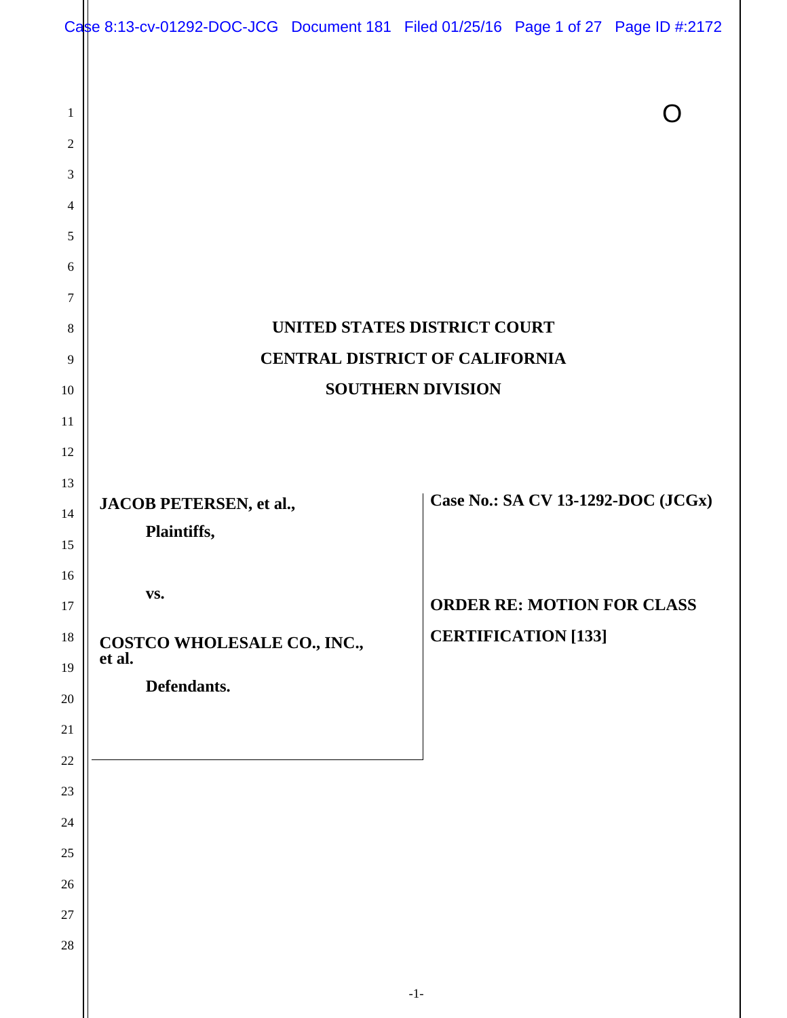|                | Case 8:13-cv-01292-DOC-JCG Document 181 Filed 01/25/16 Page 1 of 27 Page ID #:2172 |  |  |                                                                 |                                    |
|----------------|------------------------------------------------------------------------------------|--|--|-----------------------------------------------------------------|------------------------------------|
|                |                                                                                    |  |  |                                                                 |                                    |
| $\mathbf{1}$   |                                                                                    |  |  |                                                                 |                                    |
| $\overline{c}$ |                                                                                    |  |  |                                                                 |                                    |
| 3              |                                                                                    |  |  |                                                                 |                                    |
| $\overline{4}$ |                                                                                    |  |  |                                                                 |                                    |
| 5              |                                                                                    |  |  |                                                                 |                                    |
| 6              |                                                                                    |  |  |                                                                 |                                    |
| 7              |                                                                                    |  |  |                                                                 |                                    |
| $\,8\,$        | UNITED STATES DISTRICT COURT                                                       |  |  |                                                                 |                                    |
| 9              | <b>CENTRAL DISTRICT OF CALIFORNIA</b>                                              |  |  |                                                                 |                                    |
| 10             | <b>SOUTHERN DIVISION</b>                                                           |  |  |                                                                 |                                    |
| 11             |                                                                                    |  |  |                                                                 |                                    |
| 12             |                                                                                    |  |  |                                                                 |                                    |
| 13             | JACOB PETERSEN, et al.,                                                            |  |  |                                                                 | Case No.: SA CV 13-1292-DOC (JCGx) |
| 14             | Plaintiffs,                                                                        |  |  |                                                                 |                                    |
| 15             |                                                                                    |  |  |                                                                 |                                    |
| 16             | VS.                                                                                |  |  |                                                                 |                                    |
| 17<br>18       |                                                                                    |  |  | <b>ORDER RE: MOTION FOR CLASS</b><br><b>CERTIFICATION [133]</b> |                                    |
| 19             | COSTCO WHOLESALE CO., INC.,<br>et al.                                              |  |  |                                                                 |                                    |
| $20\,$         | Defendants.                                                                        |  |  |                                                                 |                                    |
| 21             |                                                                                    |  |  |                                                                 |                                    |
| 22             |                                                                                    |  |  |                                                                 |                                    |
| 23             |                                                                                    |  |  |                                                                 |                                    |
| 24             |                                                                                    |  |  |                                                                 |                                    |
| 25             |                                                                                    |  |  |                                                                 |                                    |
| 26             |                                                                                    |  |  |                                                                 |                                    |
| 27             |                                                                                    |  |  |                                                                 |                                    |
| $28\,$         |                                                                                    |  |  |                                                                 |                                    |
|                |                                                                                    |  |  |                                                                 |                                    |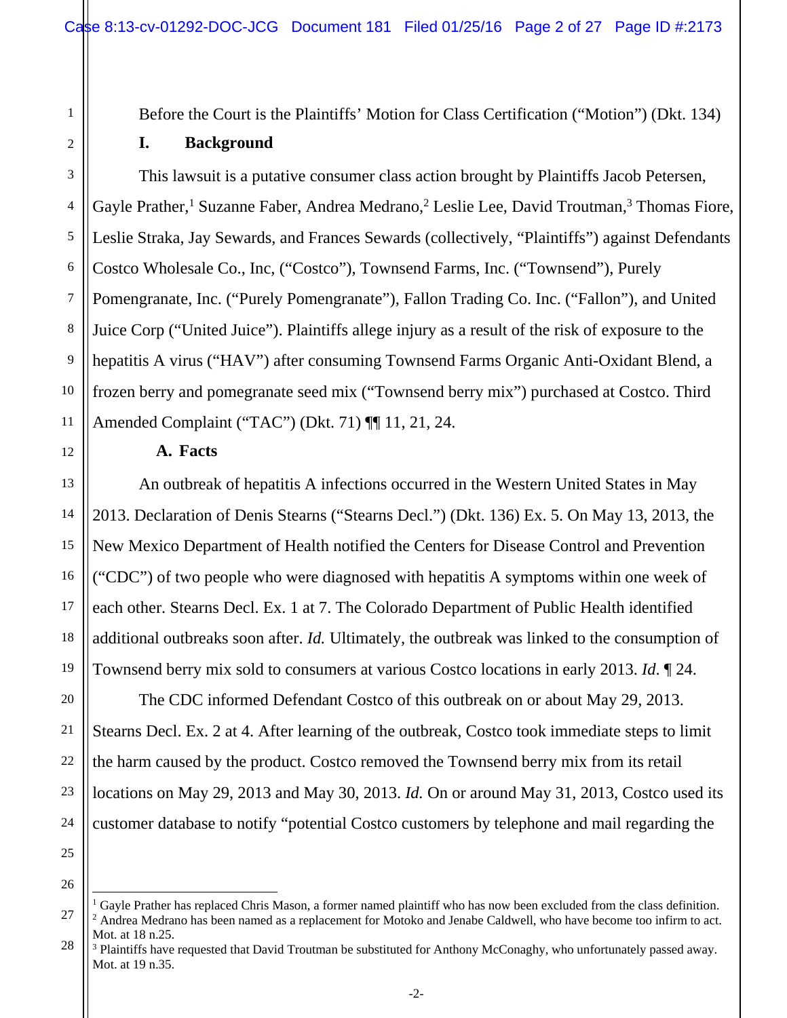Before the Court is the Plaintiffs' Motion for Class Certification ("Motion") (Dkt. 134)

## **I. Background**

1

2

3

4

5

7

8

9

11

12

13

14

15

16

17

18

19

20

21

22

23

24

6 10 This lawsuit is a putative consumer class action brought by Plaintiffs Jacob Petersen, Gayle Prather,<sup>1</sup> Suzanne Faber, Andrea Medrano,<sup>2</sup> Leslie Lee, David Troutman,<sup>3</sup> Thomas Fiore, Leslie Straka, Jay Sewards, and Frances Sewards (collectively, "Plaintiffs") against Defendants Costco Wholesale Co., Inc, ("Costco"), Townsend Farms, Inc. ("Townsend"), Purely Pomengranate, Inc. ("Purely Pomengranate"), Fallon Trading Co. Inc. ("Fallon"), and United Juice Corp ("United Juice"). Plaintiffs allege injury as a result of the risk of exposure to the hepatitis A virus ("HAV") after consuming Townsend Farms Organic Anti-Oxidant Blend, a frozen berry and pomegranate seed mix ("Townsend berry mix") purchased at Costco. Third Amended Complaint ("TAC") (Dkt. 71) ¶¶ 11, 21, 24.

## **A. Facts**

An outbreak of hepatitis A infections occurred in the Western United States in May 2013. Declaration of Denis Stearns ("Stearns Decl.") (Dkt. 136) Ex. 5. On May 13, 2013, the New Mexico Department of Health notified the Centers for Disease Control and Prevention ("CDC") of two people who were diagnosed with hepatitis A symptoms within one week of each other. Stearns Decl. Ex. 1 at 7. The Colorado Department of Public Health identified additional outbreaks soon after. *Id.* Ultimately, the outbreak was linked to the consumption of Townsend berry mix sold to consumers at various Costco locations in early 2013. *Id*. ¶ 24.

The CDC informed Defendant Costco of this outbreak on or about May 29, 2013. Stearns Decl. Ex. 2 at 4. After learning of the outbreak, Costco took immediate steps to limit the harm caused by the product. Costco removed the Townsend berry mix from its retail locations on May 29, 2013 and May 30, 2013. *Id.* On or around May 31, 2013, Costco used its customer database to notify "potential Costco customers by telephone and mail regarding the

25 26

 $\overline{\phantom{a}}$ 

<sup>&</sup>lt;sup>1</sup> Gayle Prather has replaced Chris Mason, a former named plaintiff who has now been excluded from the class definition.<br><sup>2</sup> Andrea Medrano has been named as a replacement for Motoko and Jenabe Caldwell, who have become Andrea Medrano has been named as a replacement for Motoko and Jenabe Caldwell, who have become too infirm to act. Mot. at 18 n.25.

<sup>28</sup> <sup>3</sup> Plaintiffs have requested that David Troutman be substituted for Anthony McConaghy, who unfortunately passed away. Mot. at 19 n.35.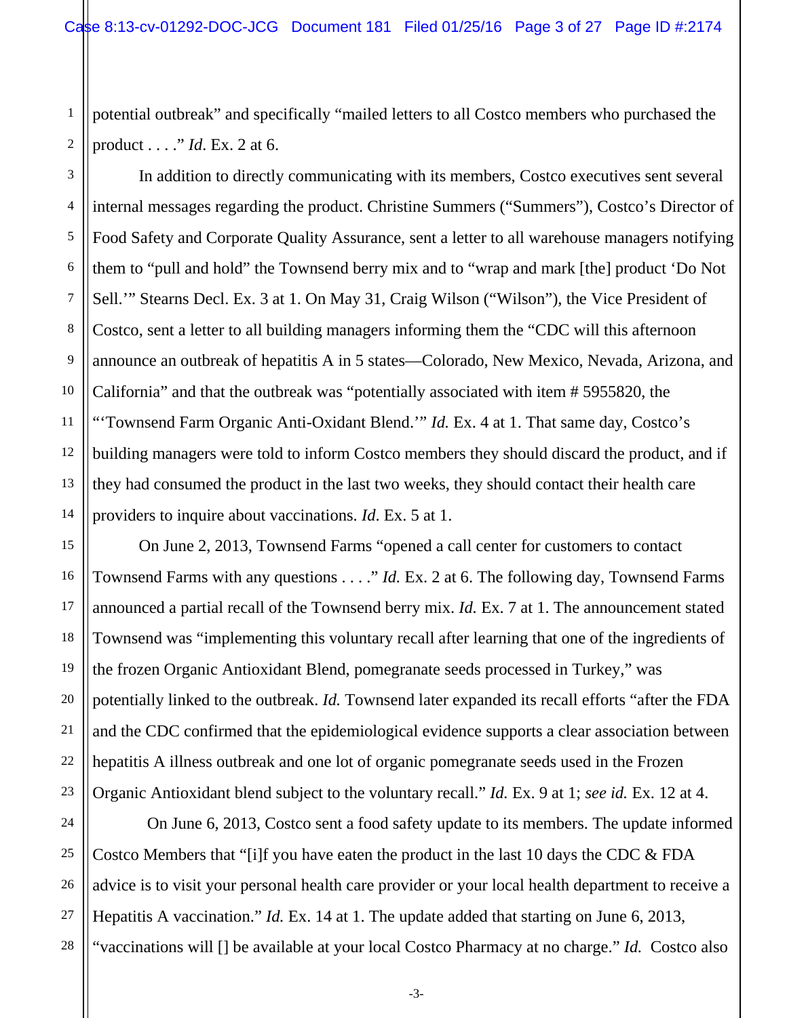1 2 potential outbreak" and specifically "mailed letters to all Costco members who purchased the product . . . ." *Id*. Ex. 2 at 6.

3 4 5 6 7 8 9 10 11 12 13 14 In addition to directly communicating with its members, Costco executives sent several internal messages regarding the product. Christine Summers ("Summers"), Costco's Director of Food Safety and Corporate Quality Assurance, sent a letter to all warehouse managers notifying them to "pull and hold" the Townsend berry mix and to "wrap and mark [the] product 'Do Not Sell.'" Stearns Decl. Ex. 3 at 1. On May 31, Craig Wilson ("Wilson"), the Vice President of Costco, sent a letter to all building managers informing them the "CDC will this afternoon announce an outbreak of hepatitis A in 5 states—Colorado, New Mexico, Nevada, Arizona, and California" and that the outbreak was "potentially associated with item # 5955820, the "'Townsend Farm Organic Anti-Oxidant Blend.'" *Id.* Ex. 4 at 1. That same day, Costco's building managers were told to inform Costco members they should discard the product, and if they had consumed the product in the last two weeks, they should contact their health care providers to inquire about vaccinations. *Id*. Ex. 5 at 1.

15 16 18 19 20 22 23 On June 2, 2013, Townsend Farms "opened a call center for customers to contact Townsend Farms with any questions . . . ." *Id.* Ex. 2 at 6. The following day, Townsend Farms announced a partial recall of the Townsend berry mix. *Id.* Ex. 7 at 1. The announcement stated Townsend was "implementing this voluntary recall after learning that one of the ingredients of the frozen Organic Antioxidant Blend, pomegranate seeds processed in Turkey," was potentially linked to the outbreak. *Id.* Townsend later expanded its recall efforts "after the FDA and the CDC confirmed that the epidemiological evidence supports a clear association between hepatitis A illness outbreak and one lot of organic pomegranate seeds used in the Frozen Organic Antioxidant blend subject to the voluntary recall." *Id.* Ex. 9 at 1; *see id.* Ex. 12 at 4.

17

21

24 25 26 27 28 On June 6, 2013, Costco sent a food safety update to its members. The update informed Costco Members that "[i]f you have eaten the product in the last 10 days the CDC & FDA advice is to visit your personal health care provider or your local health department to receive a Hepatitis A vaccination." *Id.* Ex. 14 at 1. The update added that starting on June 6, 2013, "vaccinations will [] be available at your local Costco Pharmacy at no charge." *Id.* Costco also

-3-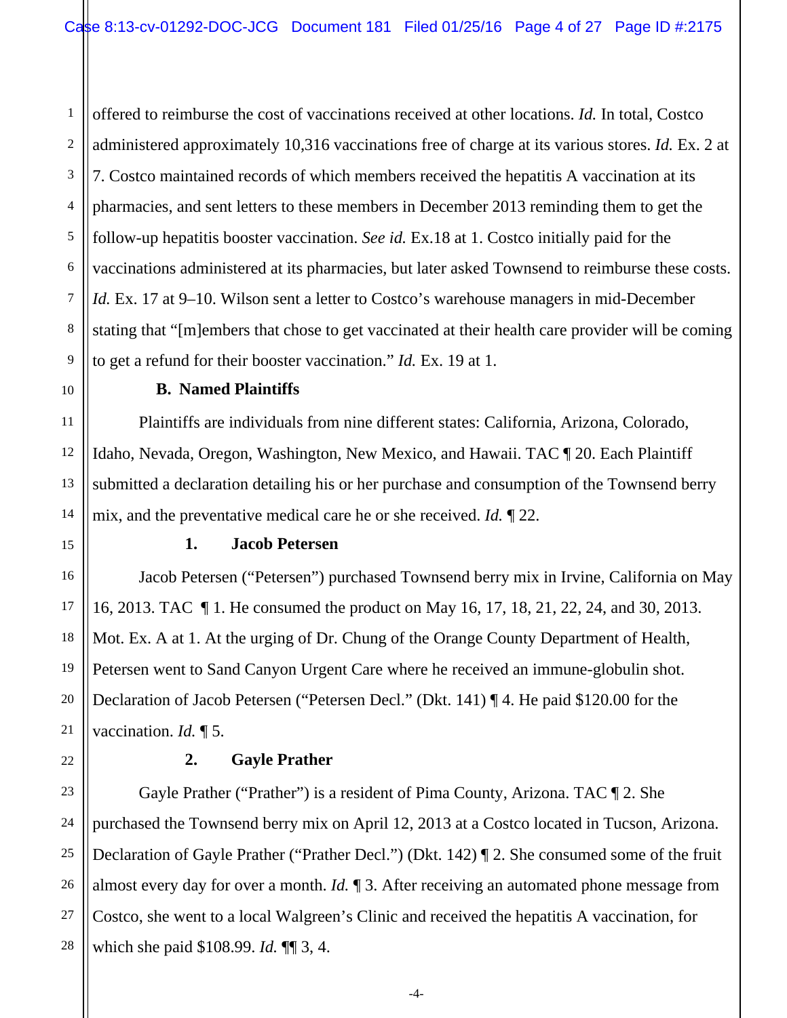1 2 3 4 5 6 7 8 9 offered to reimburse the cost of vaccinations received at other locations. *Id.* In total, Costco administered approximately 10,316 vaccinations free of charge at its various stores. *Id.* Ex. 2 at 7. Costco maintained records of which members received the hepatitis A vaccination at its pharmacies, and sent letters to these members in December 2013 reminding them to get the follow-up hepatitis booster vaccination. *See id.* Ex.18 at 1. Costco initially paid for the vaccinations administered at its pharmacies, but later asked Townsend to reimburse these costs. *Id.* Ex. 17 at 9–10. Wilson sent a letter to Costco's warehouse managers in mid-December stating that "[m]embers that chose to get vaccinated at their health care provider will be coming to get a refund for their booster vaccination." *Id.* Ex. 19 at 1.

# **B. Named Plaintiffs**

Plaintiffs are individuals from nine different states: California, Arizona, Colorado, Idaho, Nevada, Oregon, Washington, New Mexico, and Hawaii. TAC ¶ 20. Each Plaintiff submitted a declaration detailing his or her purchase and consumption of the Townsend berry mix, and the preventative medical care he or she received. *Id.* ¶ 22.

#### **1. Jacob Petersen**

Jacob Petersen ("Petersen") purchased Townsend berry mix in Irvine, California on May 16, 2013. TAC ¶ 1. He consumed the product on May 16, 17, 18, 21, 22, 24, and 30, 2013. Mot. Ex. A at 1. At the urging of Dr. Chung of the Orange County Department of Health, Petersen went to Sand Canyon Urgent Care where he received an immune-globulin shot. Declaration of Jacob Petersen ("Petersen Decl." (Dkt. 141) ¶ 4. He paid \$120.00 for the vaccination. *Id.* ¶ 5.

## **2. Gayle Prather**

Gayle Prather ("Prather") is a resident of Pima County, Arizona. TAC ¶ 2. She purchased the Townsend berry mix on April 12, 2013 at a Costco located in Tucson, Arizona. Declaration of Gayle Prather ("Prather Decl.") (Dkt. 142) ¶ 2. She consumed some of the fruit almost every day for over a month. *Id.* ¶ 3. After receiving an automated phone message from Costco, she went to a local Walgreen's Clinic and received the hepatitis A vaccination, for which she paid \$108.99. *Id.* ¶¶ 3, 4.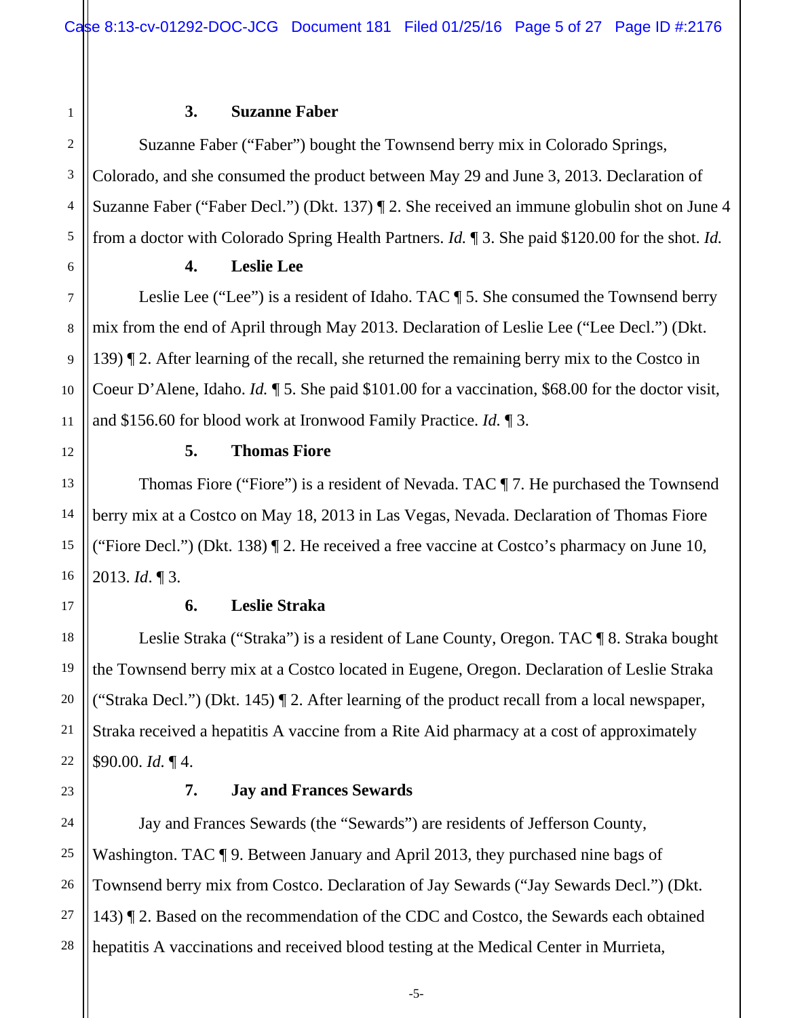## **3. Suzanne Faber**

Suzanne Faber ("Faber") bought the Townsend berry mix in Colorado Springs, Colorado, and she consumed the product between May 29 and June 3, 2013. Declaration of Suzanne Faber ("Faber Decl.") (Dkt. 137) ¶ 2. She received an immune globulin shot on June 4 from a doctor with Colorado Spring Health Partners. *Id.* ¶ 3. She paid \$120.00 for the shot. *Id.* 

## **4. Leslie Lee**

Leslie Lee ("Lee") is a resident of Idaho. TAC ¶ 5. She consumed the Townsend berry mix from the end of April through May 2013. Declaration of Leslie Lee ("Lee Decl.") (Dkt. 139) ¶ 2. After learning of the recall, she returned the remaining berry mix to the Costco in Coeur D'Alene, Idaho. *Id.* ¶ 5. She paid \$101.00 for a vaccination, \$68.00 for the doctor visit, and \$156.60 for blood work at Ironwood Family Practice. *Id.* ¶ 3.

1

2

3

4

5

6

7

8

9

10

11

12

13

14

15

16

17

18

19

20

21

22

23

24

25

27

28

## **5. Thomas Fiore**

Thomas Fiore ("Fiore") is a resident of Nevada. TAC ¶ 7. He purchased the Townsend berry mix at a Costco on May 18, 2013 in Las Vegas, Nevada. Declaration of Thomas Fiore ("Fiore Decl.") (Dkt. 138) ¶ 2. He received a free vaccine at Costco's pharmacy on June 10, 2013. *Id*. ¶ 3.

## **6. Leslie Straka**

Leslie Straka ("Straka") is a resident of Lane County, Oregon. TAC ¶ 8. Straka bought the Townsend berry mix at a Costco located in Eugene, Oregon. Declaration of Leslie Straka ("Straka Decl.") (Dkt. 145) ¶ 2. After learning of the product recall from a local newspaper, Straka received a hepatitis A vaccine from a Rite Aid pharmacy at a cost of approximately \$90.00. *Id.* ¶ 4.

# **7. Jay and Frances Sewards**

26 Jay and Frances Sewards (the "Sewards") are residents of Jefferson County, Washington. TAC ¶ 9. Between January and April 2013, they purchased nine bags of Townsend berry mix from Costco. Declaration of Jay Sewards ("Jay Sewards Decl.") (Dkt. 143) ¶ 2. Based on the recommendation of the CDC and Costco, the Sewards each obtained hepatitis A vaccinations and received blood testing at the Medical Center in Murrieta,

-5-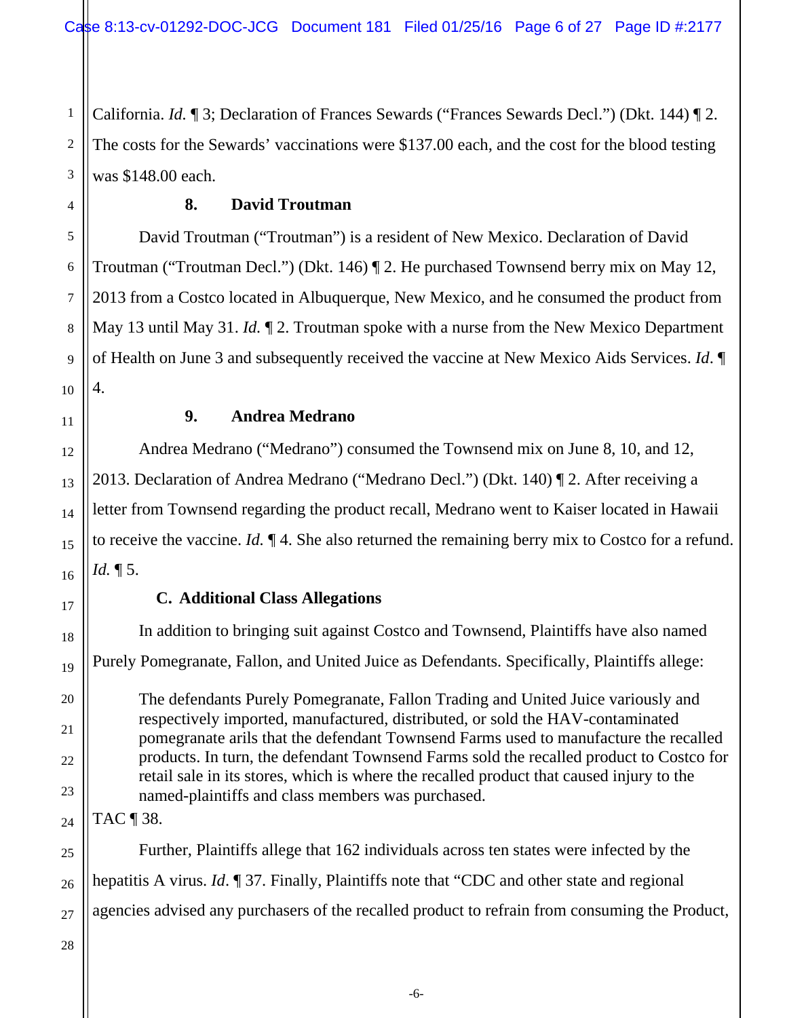1 2 3 California. *Id.* ¶ 3; Declaration of Frances Sewards ("Frances Sewards Decl.") (Dkt. 144) ¶ 2. The costs for the Sewards' vaccinations were \$137.00 each, and the cost for the blood testing was \$148.00 each.

## **8. David Troutman**

David Troutman ("Troutman") is a resident of New Mexico. Declaration of David Troutman ("Troutman Decl.") (Dkt. 146) ¶ 2. He purchased Townsend berry mix on May 12, 2013 from a Costco located in Albuquerque, New Mexico, and he consumed the product from May 13 until May 31. *Id.* ¶ 2. Troutman spoke with a nurse from the New Mexico Department of Health on June 3 and subsequently received the vaccine at New Mexico Aids Services. *Id*. ¶ 4.

**9. Andrea Medrano** 

Andrea Medrano ("Medrano") consumed the Townsend mix on June 8, 10, and 12, 2013. Declaration of Andrea Medrano ("Medrano Decl.") (Dkt. 140) ¶ 2. After receiving a letter from Townsend regarding the product recall, Medrano went to Kaiser located in Hawaii to receive the vaccine. *Id.* ¶ 4. She also returned the remaining berry mix to Costco for a refund. *Id.* ¶ 5.

# **C. Additional Class Allegations**

In addition to bringing suit against Costco and Townsend, Plaintiffs have also named Purely Pomegranate, Fallon, and United Juice as Defendants. Specifically, Plaintiffs allege:

The defendants Purely Pomegranate, Fallon Trading and United Juice variously and respectively imported, manufactured, distributed, or sold the HAV-contaminated pomegranate arils that the defendant Townsend Farms used to manufacture the recalled products. In turn, the defendant Townsend Farms sold the recalled product to Costco for retail sale in its stores, which is where the recalled product that caused injury to the named-plaintiffs and class members was purchased.

TAC ¶ 38.

Further, Plaintiffs allege that 162 individuals across ten states were infected by the hepatitis A virus. *Id*. ¶ 37. Finally, Plaintiffs note that "CDC and other state and regional agencies advised any purchasers of the recalled product to refrain from consuming the Product,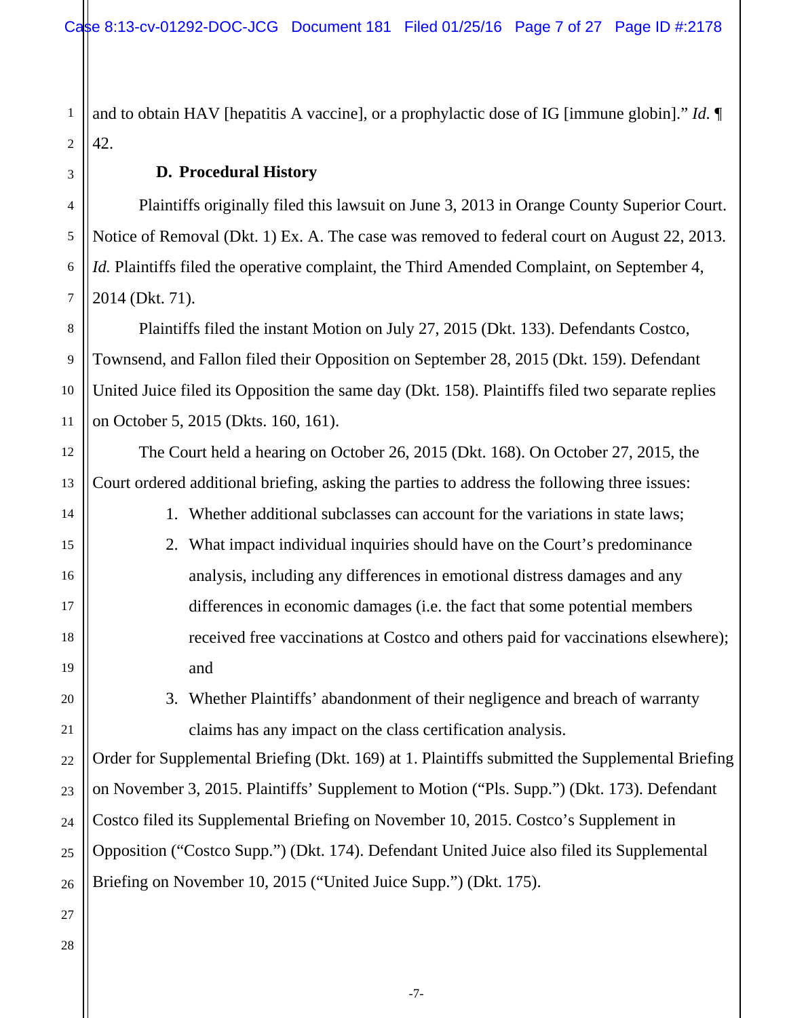1 2 and to obtain HAV [hepatitis A vaccine], or a prophylactic dose of IG [immune globin]." *Id.* ¶ 42.

# **D. Procedural History**

4 6 Plaintiffs originally filed this lawsuit on June 3, 2013 in Orange County Superior Court. Notice of Removal (Dkt. 1) Ex. A. The case was removed to federal court on August 22, 2013. *Id.* Plaintiffs filed the operative complaint, the Third Amended Complaint, on September 4, 2014 (Dkt. 71).

8 10 11 Plaintiffs filed the instant Motion on July 27, 2015 (Dkt. 133). Defendants Costco, Townsend, and Fallon filed their Opposition on September 28, 2015 (Dkt. 159). Defendant United Juice filed its Opposition the same day (Dkt. 158). Plaintiffs filed two separate replies on October 5, 2015 (Dkts. 160, 161).

The Court held a hearing on October 26, 2015 (Dkt. 168). On October 27, 2015, the Court ordered additional briefing, asking the parties to address the following three issues:

- 1. Whether additional subclasses can account for the variations in state laws;
- 2. What impact individual inquiries should have on the Court's predominance analysis, including any differences in emotional distress damages and any differences in economic damages (i.e. the fact that some potential members received free vaccinations at Costco and others paid for vaccinations elsewhere); and

20 21

22

23

24

25

3

5

7

9

12

13

14

15

16

17

18

19

3. Whether Plaintiffs' abandonment of their negligence and breach of warranty claims has any impact on the class certification analysis.

26 Order for Supplemental Briefing (Dkt. 169) at 1. Plaintiffs submitted the Supplemental Briefing on November 3, 2015. Plaintiffs' Supplement to Motion ("Pls. Supp.") (Dkt. 173). Defendant Costco filed its Supplemental Briefing on November 10, 2015. Costco's Supplement in Opposition ("Costco Supp.") (Dkt. 174). Defendant United Juice also filed its Supplemental Briefing on November 10, 2015 ("United Juice Supp.") (Dkt. 175).

28

27

-7-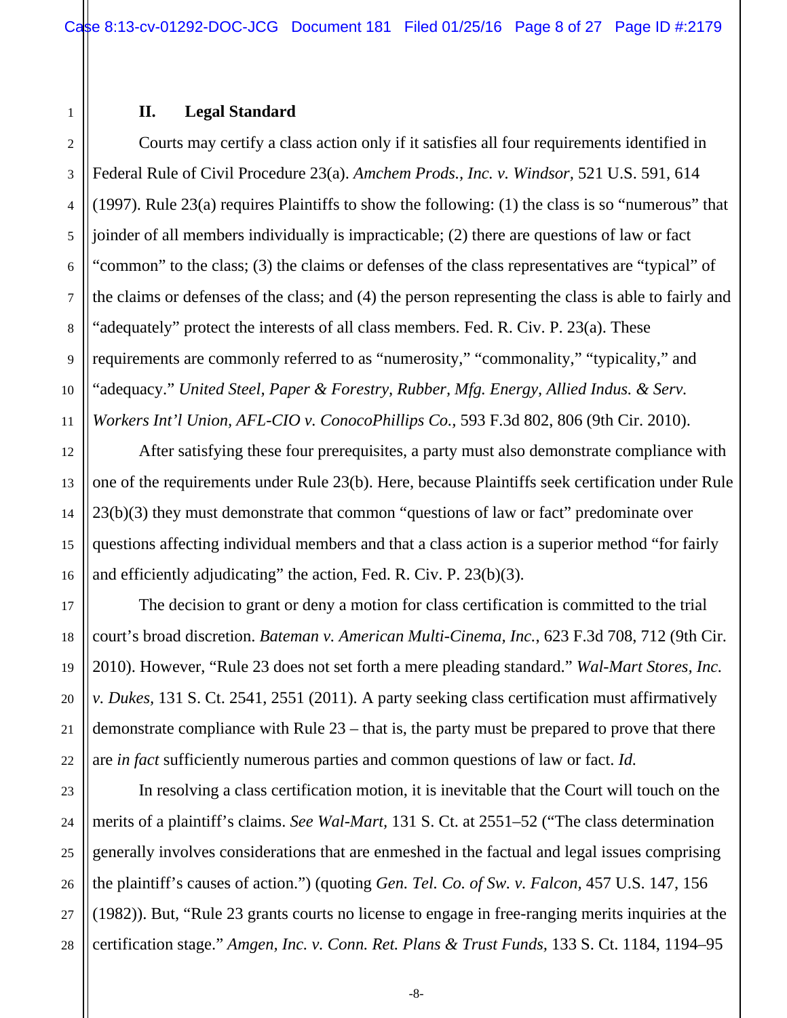# **II. Legal Standard**

Courts may certify a class action only if it satisfies all four requirements identified in Federal Rule of Civil Procedure 23(a). *Amchem Prods., Inc. v. Windsor,* 521 U.S. 591, 614 (1997). Rule 23(a) requires Plaintiffs to show the following: (1) the class is so "numerous" that joinder of all members individually is impracticable; (2) there are questions of law or fact "common" to the class; (3) the claims or defenses of the class representatives are "typical" of the claims or defenses of the class; and (4) the person representing the class is able to fairly and "adequately" protect the interests of all class members. Fed. R. Civ. P. 23(a). These requirements are commonly referred to as "numerosity," "commonality," "typicality," and "adequacy." *United Steel, Paper & Forestry, Rubber, Mfg. Energy, Allied Indus. & Serv. Workers Int'l Union, AFL-CIO v. ConocoPhillips Co.,* 593 F.3d 802, 806 (9th Cir. 2010).

After satisfying these four prerequisites, a party must also demonstrate compliance with one of the requirements under Rule 23(b). Here, because Plaintiffs seek certification under Rule 23(b)(3) they must demonstrate that common "questions of law or fact" predominate over questions affecting individual members and that a class action is a superior method "for fairly and efficiently adjudicating" the action, Fed. R. Civ. P. 23(b)(3).

The decision to grant or deny a motion for class certification is committed to the trial court's broad discretion. *Bateman v. American Multi-Cinema, Inc.*, 623 F.3d 708, 712 (9th Cir. 2010). However, "Rule 23 does not set forth a mere pleading standard." *Wal-Mart Stores, Inc. v. Dukes,* 131 S. Ct. 2541, 2551 (2011). A party seeking class certification must affirmatively demonstrate compliance with Rule 23 – that is, the party must be prepared to prove that there are *in fact* sufficiently numerous parties and common questions of law or fact. *Id.*

In resolving a class certification motion, it is inevitable that the Court will touch on the merits of a plaintiff's claims. *See Wal-Mart,* 131 S. Ct. at 2551–52 ("The class determination generally involves considerations that are enmeshed in the factual and legal issues comprising the plaintiff's causes of action.") (quoting *Gen. Tel. Co. of Sw. v. Falcon,* 457 U.S. 147, 156 (1982)). But, "Rule 23 grants courts no license to engage in free-ranging merits inquiries at the certification stage." *Amgen, Inc. v. Conn. Ret. Plans & Trust Funds,* 133 S. Ct. 1184, 1194–95

1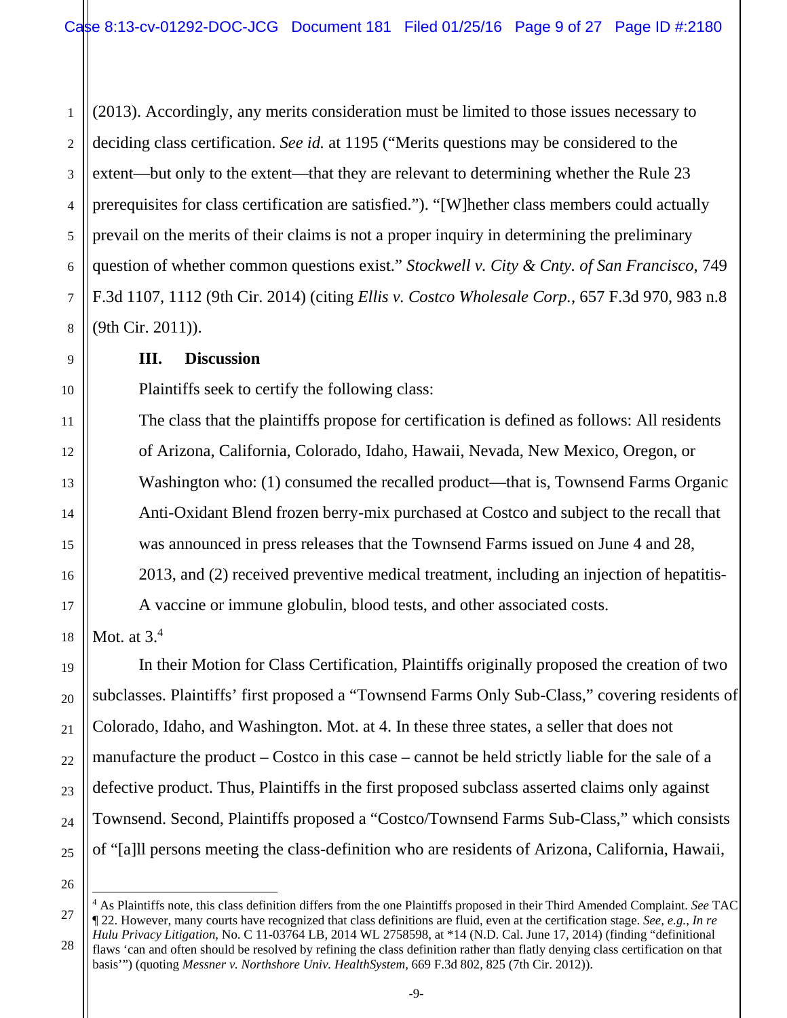1 2 3 4 5 6 7 8 (2013). Accordingly, any merits consideration must be limited to those issues necessary to deciding class certification. *See id.* at 1195 ("Merits questions may be considered to the extent—but only to the extent—that they are relevant to determining whether the Rule 23 prerequisites for class certification are satisfied."). "[W]hether class members could actually prevail on the merits of their claims is not a proper inquiry in determining the preliminary question of whether common questions exist." *Stockwell v. City & Cnty. of San Francisco*, 749 F.3d 1107, 1112 (9th Cir. 2014) (citing *Ellis v. Costco Wholesale Corp.*, 657 F.3d 970, 983 n.8 (9th Cir. 2011)).

9

10

11

12

13

14

15

16

17

18

19

20

21

22

23

24

25

# **III. Discussion**

Plaintiffs seek to certify the following class:

The class that the plaintiffs propose for certification is defined as follows: All residents of Arizona, California, Colorado, Idaho, Hawaii, Nevada, New Mexico, Oregon, or Washington who: (1) consumed the recalled product—that is, Townsend Farms Organic Anti-Oxidant Blend frozen berry-mix purchased at Costco and subject to the recall that was announced in press releases that the Townsend Farms issued on June 4 and 28, 2013, and (2) received preventive medical treatment, including an injection of hepatitis- A vaccine or immune globulin, blood tests, and other associated costs.

Mot. at  $3<sup>4</sup>$ 

 In their Motion for Class Certification, Plaintiffs originally proposed the creation of two subclasses. Plaintiffs' first proposed a "Townsend Farms Only Sub-Class," covering residents of Colorado, Idaho, and Washington. Mot. at 4. In these three states, a seller that does not manufacture the product – Costco in this case – cannot be held strictly liable for the sale of a defective product. Thus, Plaintiffs in the first proposed subclass asserted claims only against Townsend. Second, Plaintiffs proposed a "Costco/Townsend Farms Sub-Class," which consists of "[a]ll persons meeting the class-definition who are residents of Arizona, California, Hawaii,

26

 $\overline{\phantom{a}}$ 

27

28

-9-

basis'") (quoting *Messner v. Northshore Univ. HealthSystem,* 669 F.3d 802, 825 (7th Cir. 2012)).

<sup>4</sup> As Plaintiffs note, this class definition differs from the one Plaintiffs proposed in their Third Amended Complaint. *See* TAC ¶ 22. However, many courts have recognized that class definitions are fluid, even at the certification stage. *See, e.g.*, *In re Hulu Privacy Litigation*, No. C 11-03764 LB, 2014 WL 2758598, at \*14 (N.D. Cal. June 17, 2014) (finding "definitional flaws 'can and often should be resolved by refining the class definition rather than flatly denying class certification on that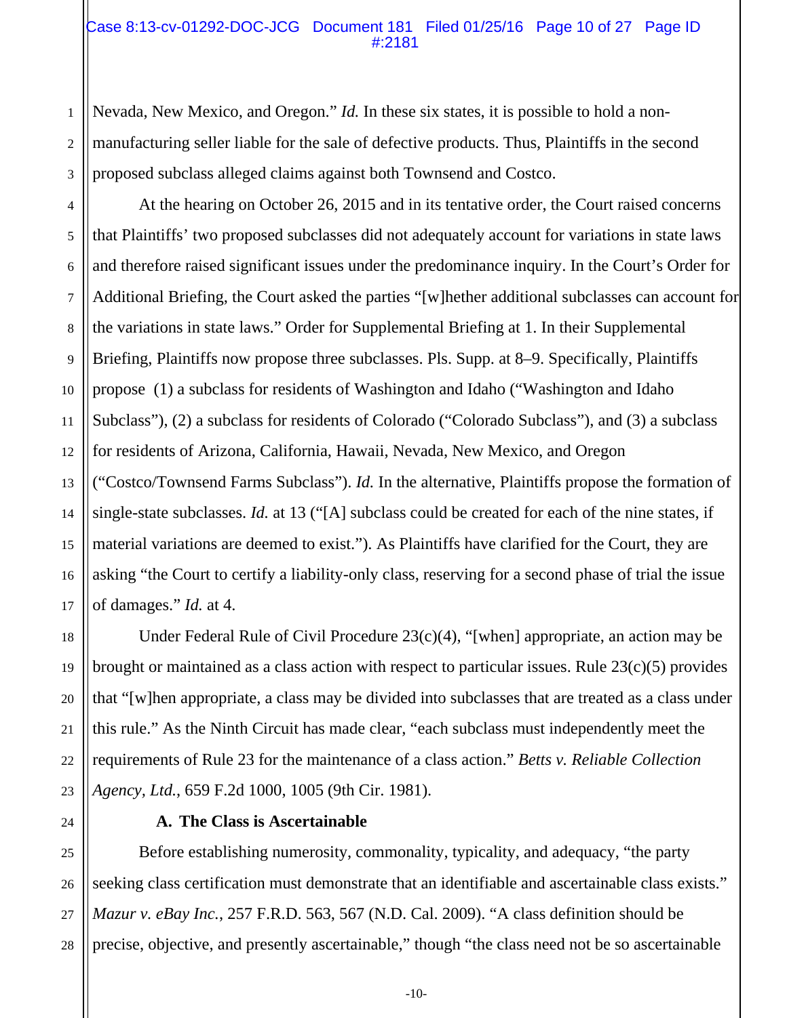#### Case 8:13-cv-01292-DOC-JCG Document 181 Filed 01/25/16 Page 10 of 27 Page ID #:2181

2 3 Nevada, New Mexico, and Oregon." *Id.* In these six states, it is possible to hold a nonmanufacturing seller liable for the sale of defective products. Thus, Plaintiffs in the second proposed subclass alleged claims against both Townsend and Costco.

4 5 6 7 8 10 11 12 13 14 15 16 At the hearing on October 26, 2015 and in its tentative order, the Court raised concerns that Plaintiffs' two proposed subclasses did not adequately account for variations in state laws and therefore raised significant issues under the predominance inquiry. In the Court's Order for Additional Briefing, the Court asked the parties "[w]hether additional subclasses can account for the variations in state laws." Order for Supplemental Briefing at 1. In their Supplemental Briefing, Plaintiffs now propose three subclasses. Pls. Supp. at 8–9. Specifically, Plaintiffs propose (1) a subclass for residents of Washington and Idaho ("Washington and Idaho Subclass"), (2) a subclass for residents of Colorado ("Colorado Subclass"), and (3) a subclass for residents of Arizona, California, Hawaii, Nevada, New Mexico, and Oregon ("Costco/Townsend Farms Subclass"). *Id.* In the alternative, Plaintiffs propose the formation of single-state subclasses. *Id.* at 13 ("[A] subclass could be created for each of the nine states, if material variations are deemed to exist."). As Plaintiffs have clarified for the Court, they are asking "the Court to certify a liability-only class, reserving for a second phase of trial the issue of damages." *Id.* at 4.

Under Federal Rule of Civil Procedure 23(c)(4), "[when] appropriate, an action may be brought or maintained as a class action with respect to particular issues. Rule 23(c)(5) provides that "[w]hen appropriate, a class may be divided into subclasses that are treated as a class under this rule." As the Ninth Circuit has made clear, "each subclass must independently meet the requirements of Rule 23 for the maintenance of a class action." *Betts v. Reliable Collection Agency, Ltd.*, 659 F.2d 1000, 1005 (9th Cir. 1981).

1

9

17

18

19

20

21

22

23

24

25

27

28

## **A. The Class is Ascertainable**

26 Before establishing numerosity, commonality, typicality, and adequacy, "the party seeking class certification must demonstrate that an identifiable and ascertainable class exists." *Mazur v. eBay Inc.*, 257 F.R.D. 563, 567 (N.D. Cal. 2009). "A class definition should be precise, objective, and presently ascertainable," though "the class need not be so ascertainable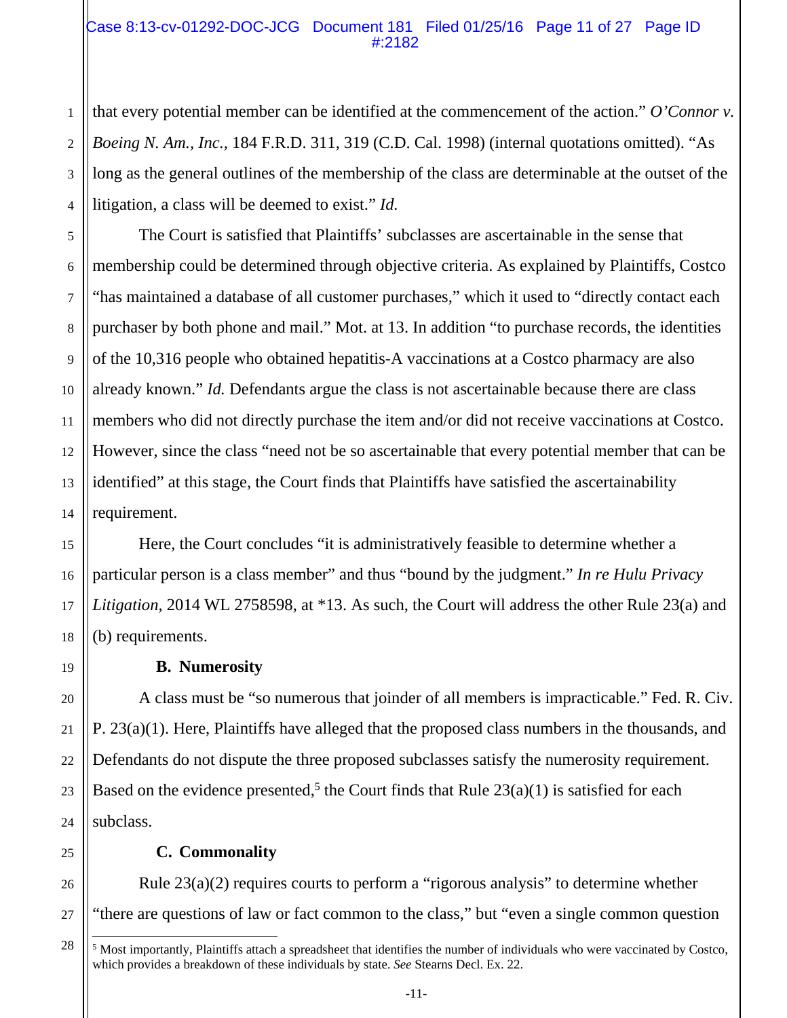### Case 8:13-cv-01292-DOC-JCG Document 181 Filed 01/25/16 Page 11 of 27 Page ID #:2182

that every potential member can be identified at the commencement of the action." *O'Connor v. Boeing N. Am., Inc.,* 184 F.R.D. 311, 319 (C.D. Cal. 1998) (internal quotations omitted). "As long as the general outlines of the membership of the class are determinable at the outset of the litigation, a class will be deemed to exist." *Id.*

The Court is satisfied that Plaintiffs' subclasses are ascertainable in the sense that membership could be determined through objective criteria. As explained by Plaintiffs, Costco "has maintained a database of all customer purchases," which it used to "directly contact each purchaser by both phone and mail." Mot. at 13. In addition "to purchase records, the identities of the 10,316 people who obtained hepatitis-A vaccinations at a Costco pharmacy are also already known." *Id.* Defendants argue the class is not ascertainable because there are class members who did not directly purchase the item and/or did not receive vaccinations at Costco. However, since the class "need not be so ascertainable that every potential member that can be identified" at this stage, the Court finds that Plaintiffs have satisfied the ascertainability requirement.

Here, the Court concludes "it is administratively feasible to determine whether a particular person is a class member" and thus "bound by the judgment." *In re Hulu Privacy Litigation*, 2014 WL 2758598, at \*13. As such, the Court will address the other Rule 23(a) and (b) requirements.

**B. Numerosity** 

A class must be "so numerous that joinder of all members is impracticable." Fed. R. Civ. P. 23(a)(1). Here, Plaintiffs have alleged that the proposed class numbers in the thousands, and Defendants do not dispute the three proposed subclasses satisfy the numerosity requirement. Based on the evidence presented,<sup>5</sup> the Court finds that Rule  $23(a)(1)$  is satisfied for each subclass.

# **C. Commonality**

Rule 23(a)(2) requires courts to perform a "rigorous analysis" to determine whether "there are questions of law or fact common to the class," but "even a single common question

 $\overline{\phantom{a}}$ 

1

2

3

4

5

<sup>&</sup>lt;sup>5</sup> Most importantly, Plaintiffs attach a spreadsheet that identifies the number of individuals who were vaccinated by Costco, which provides a breakdown of these individuals by state. *See* Stearns Decl. Ex. 22.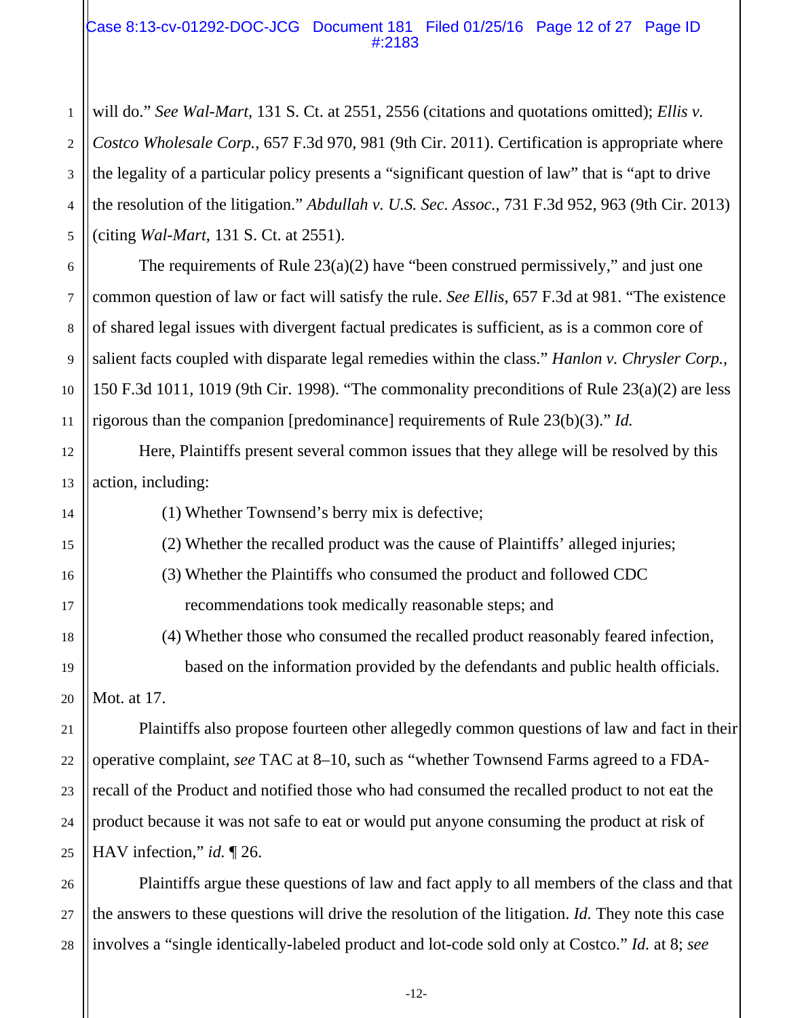#### Case 8:13-cv-01292-DOC-JCG Document 181 Filed 01/25/16 Page 12 of 27 Page ID #:2183

1 2 3 4 5 will do." *See Wal-Mart*, 131 S. Ct. at 2551, 2556 (citations and quotations omitted); *Ellis v. Costco Wholesale Corp.*, 657 F.3d 970, 981 (9th Cir. 2011). Certification is appropriate where the legality of a particular policy presents a "significant question of law" that is "apt to drive the resolution of the litigation." *Abdullah v. U.S. Sec. Assoc.*, 731 F.3d 952, 963 (9th Cir. 2013) (citing *Wal-Mart*, 131 S. Ct. at 2551).

The requirements of Rule  $23(a)(2)$  have "been construed permissively," and just one common question of law or fact will satisfy the rule. *See Ellis*, 657 F.3d at 981. "The existence of shared legal issues with divergent factual predicates is sufficient, as is a common core of salient facts coupled with disparate legal remedies within the class." *Hanlon v. Chrysler Corp.*, 150 F.3d 1011, 1019 (9th Cir. 1998). "The commonality preconditions of Rule 23(a)(2) are less rigorous than the companion [predominance] requirements of Rule 23(b)(3)." *Id.*

12 13 Here, Plaintiffs present several common issues that they allege will be resolved by this action, including:

(1) Whether Townsend's berry mix is defective;

6

7

8

9

10

11

14

15

16

17

18

19

20

21

23

24

(2) Whether the recalled product was the cause of Plaintiffs' alleged injuries;

(3) Whether the Plaintiffs who consumed the product and followed CDC recommendations took medically reasonable steps; and

(4) Whether those who consumed the recalled product reasonably feared infection, based on the information provided by the defendants and public health officials. Mot. at 17.

22 25 Plaintiffs also propose fourteen other allegedly common questions of law and fact in their operative complaint, *see* TAC at 8–10, such as "whether Townsend Farms agreed to a FDArecall of the Product and notified those who had consumed the recalled product to not eat the product because it was not safe to eat or would put anyone consuming the product at risk of HAV infection," *id.* ¶ 26.

26 27 28 Plaintiffs argue these questions of law and fact apply to all members of the class and that the answers to these questions will drive the resolution of the litigation. *Id.* They note this case involves a "single identically-labeled product and lot-code sold only at Costco." *Id.* at 8; *see*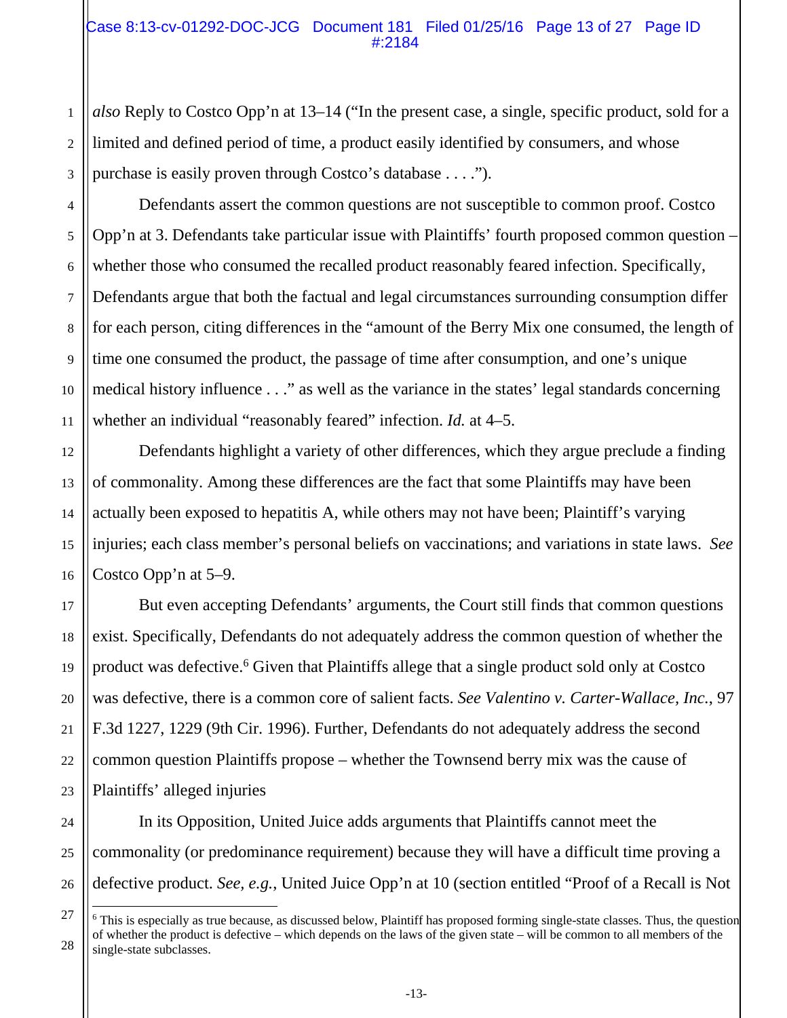### Case 8:13-cv-01292-DOC-JCG Document 181 Filed 01/25/16 Page 13 of 27 Page ID #:2184

*also* Reply to Costco Opp'n at 13–14 ("In the present case, a single, specific product, sold for a limited and defined period of time, a product easily identified by consumers, and whose purchase is easily proven through Costco's database . . . .").

 Defendants assert the common questions are not susceptible to common proof. Costco Opp'n at 3. Defendants take particular issue with Plaintiffs' fourth proposed common question – whether those who consumed the recalled product reasonably feared infection. Specifically, Defendants argue that both the factual and legal circumstances surrounding consumption differ for each person, citing differences in the "amount of the Berry Mix one consumed, the length of time one consumed the product, the passage of time after consumption, and one's unique medical history influence . . ." as well as the variance in the states' legal standards concerning whether an individual "reasonably feared" infection. *Id.* at 4–5.

 Defendants highlight a variety of other differences, which they argue preclude a finding of commonality. Among these differences are the fact that some Plaintiffs may have been actually been exposed to hepatitis A, while others may not have been; Plaintiff's varying injuries; each class member's personal beliefs on vaccinations; and variations in state laws. *See*  Costco Opp'n at 5–9.

But even accepting Defendants' arguments, the Court still finds that common questions exist. Specifically, Defendants do not adequately address the common question of whether the product was defective.<sup>6</sup> Given that Plaintiffs allege that a single product sold only at Costco was defective, there is a common core of salient facts. *See Valentino v. Carter-Wallace, Inc.*, 97 F.3d 1227, 1229 (9th Cir. 1996). Further, Defendants do not adequately address the second common question Plaintiffs propose – whether the Townsend berry mix was the cause of Plaintiffs' alleged injuries

 In its Opposition, United Juice adds arguments that Plaintiffs cannot meet the commonality (or predominance requirement) because they will have a difficult time proving a defective product. *See, e.g.*, United Juice Opp'n at 10 (section entitled "Proof of a Recall is Not

 $\overline{\phantom{a}}$ 

1

<sup>&</sup>lt;sup>6</sup> This is especially as true because, as discussed below, Plaintiff has proposed forming single-state classes. Thus, the question of whether the product is defective – which depends on the laws of the given state – will be common to all members of the single-state subclasses.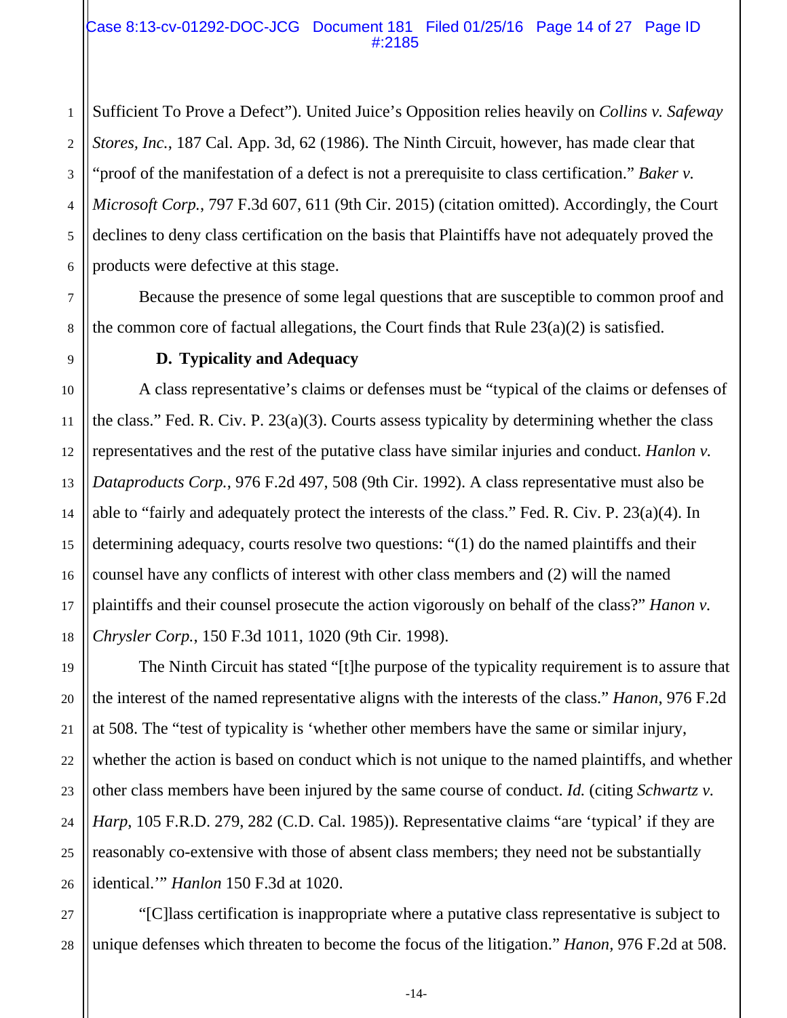#### Case 8:13-cv-01292-DOC-JCG Document 181 Filed 01/25/16 Page 14 of 27 Page ID #:2185

1 2 3 4 Sufficient To Prove a Defect"). United Juice's Opposition relies heavily on *Collins v. Safeway Stores, Inc.*, 187 Cal. App. 3d, 62 (1986). The Ninth Circuit, however, has made clear that "proof of the manifestation of a defect is not a prerequisite to class certification." *Baker v. Microsoft Corp.*, 797 F.3d 607, 611 (9th Cir. 2015) (citation omitted). Accordingly, the Court declines to deny class certification on the basis that Plaintiffs have not adequately proved the products were defective at this stage.

 Because the presence of some legal questions that are susceptible to common proof and the common core of factual allegations, the Court finds that Rule 23(a)(2) is satisfied.

## **D. Typicality and Adequacy**

A class representative's claims or defenses must be "typical of the claims or defenses of the class." Fed. R. Civ. P. 23(a)(3). Courts assess typicality by determining whether the class representatives and the rest of the putative class have similar injuries and conduct. *Hanlon v. Dataproducts Corp.*, 976 F.2d 497, 508 (9th Cir. 1992). A class representative must also be able to "fairly and adequately protect the interests of the class." Fed. R. Civ. P. 23(a)(4). In determining adequacy, courts resolve two questions: "(1) do the named plaintiffs and their counsel have any conflicts of interest with other class members and (2) will the named plaintiffs and their counsel prosecute the action vigorously on behalf of the class?" *Hanon v. Chrysler Corp.*, 150 F.3d 1011, 1020 (9th Cir. 1998).

The Ninth Circuit has stated "[t]he purpose of the typicality requirement is to assure that the interest of the named representative aligns with the interests of the class." *Hanon*, 976 F.2d at 508. The "test of typicality is 'whether other members have the same or similar injury, whether the action is based on conduct which is not unique to the named plaintiffs, and whether other class members have been injured by the same course of conduct. *Id.* (citing *Schwartz v. Harp*, 105 F.R.D. 279, 282 (C.D. Cal. 1985)). Representative claims "are 'typical' if they are reasonably co-extensive with those of absent class members; they need not be substantially identical.'" *Hanlon* 150 F.3d at 1020.

"[C]lass certification is inappropriate where a putative class representative is subject to unique defenses which threaten to become the focus of the litigation." *Hanon,* 976 F.2d at 508.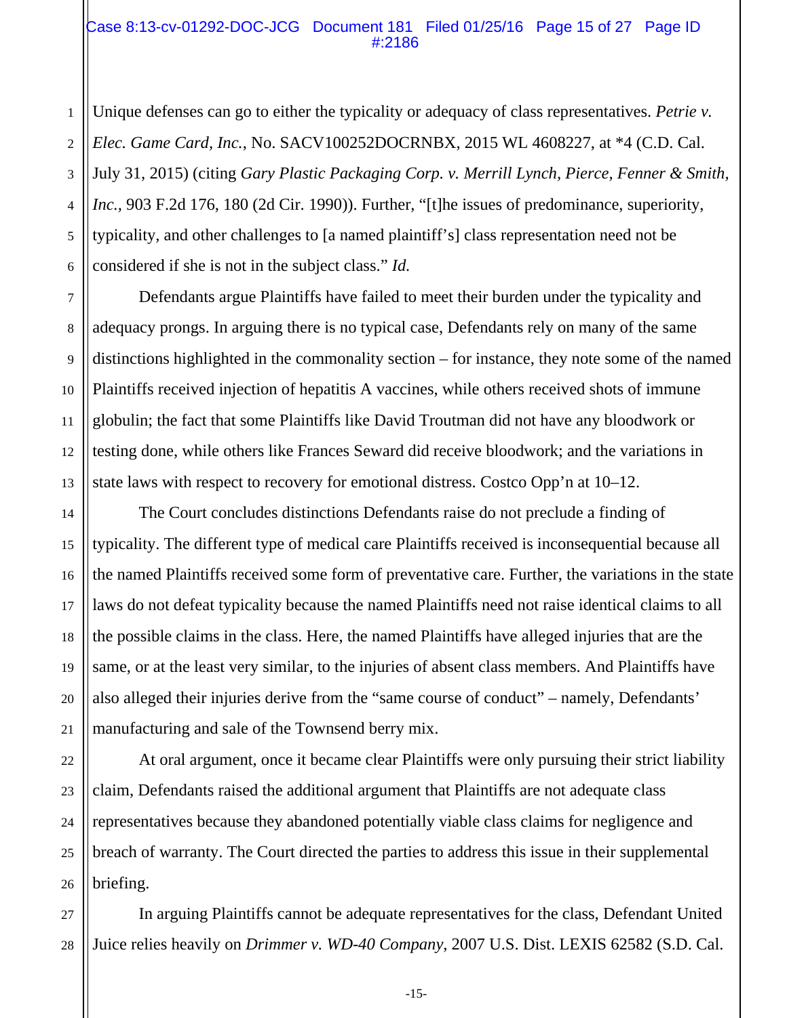#### Case 8:13-cv-01292-DOC-JCG Document 181 Filed 01/25/16 Page 15 of 27 Page ID #:2186

2 Unique defenses can go to either the typicality or adequacy of class representatives. *Petrie v. Elec. Game Card, Inc.*, No. SACV100252DOCRNBX, 2015 WL 4608227, at \*4 (C.D. Cal. July 31, 2015) (citing *Gary Plastic Packaging Corp. v. Merrill Lynch, Pierce, Fenner & Smith, Inc.,* 903 F.2d 176, 180 (2d Cir. 1990)). Further, "[t]he issues of predominance, superiority, typicality, and other challenges to [a named plaintiff's] class representation need not be considered if she is not in the subject class." *Id.*

Defendants argue Plaintiffs have failed to meet their burden under the typicality and adequacy prongs. In arguing there is no typical case, Defendants rely on many of the same distinctions highlighted in the commonality section – for instance, they note some of the named Plaintiffs received injection of hepatitis A vaccines, while others received shots of immune globulin; the fact that some Plaintiffs like David Troutman did not have any bloodwork or testing done, while others like Frances Seward did receive bloodwork; and the variations in state laws with respect to recovery for emotional distress. Costco Opp'n at 10–12.

The Court concludes distinctions Defendants raise do not preclude a finding of typicality. The different type of medical care Plaintiffs received is inconsequential because all the named Plaintiffs received some form of preventative care. Further, the variations in the state laws do not defeat typicality because the named Plaintiffs need not raise identical claims to all the possible claims in the class. Here, the named Plaintiffs have alleged injuries that are the same, or at the least very similar, to the injuries of absent class members. And Plaintiffs have also alleged their injuries derive from the "same course of conduct" – namely, Defendants' manufacturing and sale of the Townsend berry mix.

At oral argument, once it became clear Plaintiffs were only pursuing their strict liability claim, Defendants raised the additional argument that Plaintiffs are not adequate class representatives because they abandoned potentially viable class claims for negligence and breach of warranty. The Court directed the parties to address this issue in their supplemental briefing.

In arguing Plaintiffs cannot be adequate representatives for the class, Defendant United Juice relies heavily on *Drimmer v. WD-40 Company*, 2007 U.S. Dist. LEXIS 62582 (S.D. Cal.

1

-15-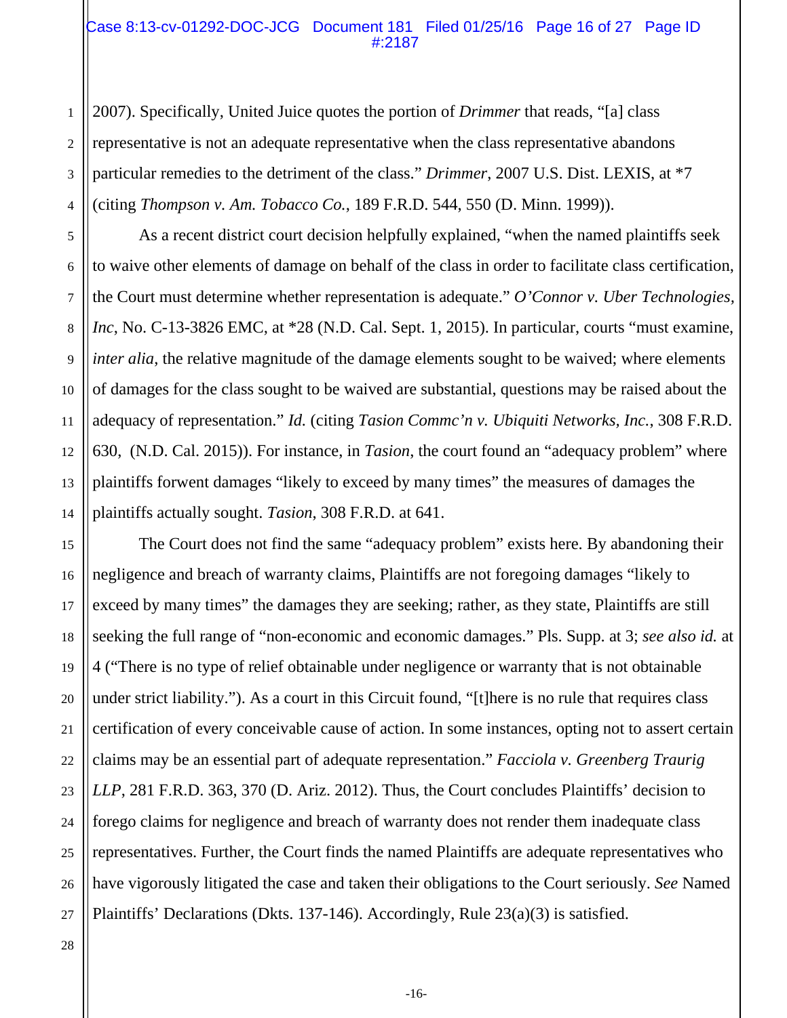#### Case 8:13-cv-01292-DOC-JCG Document 181 Filed 01/25/16 Page 16 of 27 Page ID #:2187

2007). Specifically, United Juice quotes the portion of *Drimmer* that reads, "[a] class representative is not an adequate representative when the class representative abandons particular remedies to the detriment of the class." *Drimmer*, 2007 U.S. Dist. LEXIS, at \*7 (citing *Thompson v. Am. Tobacco Co.*, 189 F.R.D. 544, 550 (D. Minn. 1999)).

As a recent district court decision helpfully explained, "when the named plaintiffs seek to waive other elements of damage on behalf of the class in order to facilitate class certification, the Court must determine whether representation is adequate." *O'Connor v. Uber Technologies, Inc*, No. C-13-3826 EMC, at \*28 (N.D. Cal. Sept. 1, 2015). In particular, courts "must examine, *inter alia*, the relative magnitude of the damage elements sought to be waived; where elements of damages for the class sought to be waived are substantial, questions may be raised about the adequacy of representation." *Id.* (citing *Tasion Commc'n v. Ubiquiti Networks, Inc.*, 308 F.R.D. 630, (N.D. Cal. 2015)). For instance, in *Tasion*, the court found an "adequacy problem" where plaintiffs forwent damages "likely to exceed by many times" the measures of damages the plaintiffs actually sought. *Tasion*, 308 F.R.D. at 641.

15 16 17 18 19 20 21 22 23 24 25 26 27 The Court does not find the same "adequacy problem" exists here. By abandoning their negligence and breach of warranty claims, Plaintiffs are not foregoing damages "likely to exceed by many times" the damages they are seeking; rather, as they state, Plaintiffs are still seeking the full range of "non-economic and economic damages." Pls. Supp. at 3; *see also id.* at 4 ("There is no type of relief obtainable under negligence or warranty that is not obtainable under strict liability."). As a court in this Circuit found, "[t]here is no rule that requires class certification of every conceivable cause of action. In some instances, opting not to assert certain claims may be an essential part of adequate representation." *Facciola v. Greenberg Traurig LLP*, 281 F.R.D. 363, 370 (D. Ariz. 2012). Thus, the Court concludes Plaintiffs' decision to forego claims for negligence and breach of warranty does not render them inadequate class representatives. Further, the Court finds the named Plaintiffs are adequate representatives who have vigorously litigated the case and taken their obligations to the Court seriously. *See* Named Plaintiffs' Declarations (Dkts. 137-146). Accordingly, Rule 23(a)(3) is satisfied.

28

1

2

3

4

5

6

7

8

9

10

11

12

13

14

-16-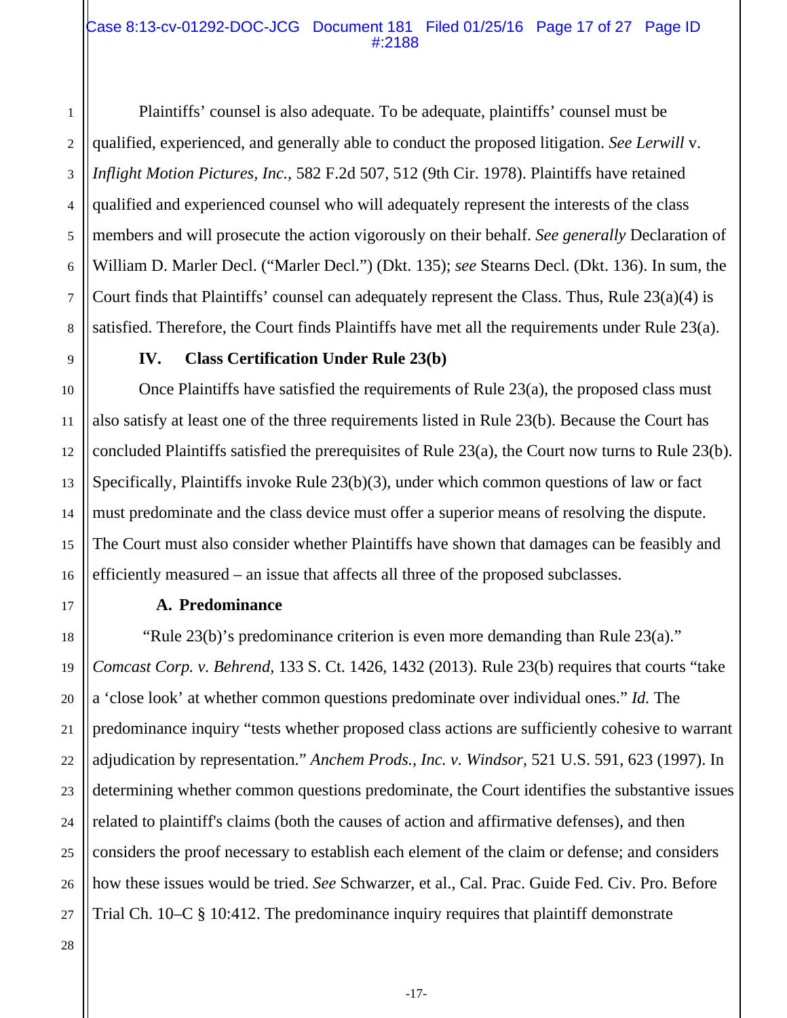#### Case 8:13-cv-01292-DOC-JCG Document 181 Filed 01/25/16 Page 17 of 27 Page ID #:2188

2 3 4 5 6 7 8 Plaintiffs' counsel is also adequate. To be adequate, plaintiffs' counsel must be qualified, experienced, and generally able to conduct the proposed litigation. *See Lerwill* v. *Inflight Motion Pictures, Inc.*, 582 F.2d 507, 512 (9th Cir. 1978). Plaintiffs have retained qualified and experienced counsel who will adequately represent the interests of the class members and will prosecute the action vigorously on their behalf. *See generally* Declaration of William D. Marler Decl. ("Marler Decl.") (Dkt. 135); *see* Stearns Decl. (Dkt. 136). In sum, the Court finds that Plaintiffs' counsel can adequately represent the Class. Thus, Rule 23(a)(4) is satisfied. Therefore, the Court finds Plaintiffs have met all the requirements under Rule 23(a).

1

9

10

11

12

13

15

17

18

19

20

21

22

23

24

25

26

## **IV. Class Certification Under Rule 23(b)**

14 16 Once Plaintiffs have satisfied the requirements of Rule 23(a), the proposed class must also satisfy at least one of the three requirements listed in Rule 23(b). Because the Court has concluded Plaintiffs satisfied the prerequisites of Rule 23(a), the Court now turns to Rule 23(b). Specifically, Plaintiffs invoke Rule 23(b)(3), under which common questions of law or fact must predominate and the class device must offer a superior means of resolving the dispute. The Court must also consider whether Plaintiffs have shown that damages can be feasibly and efficiently measured – an issue that affects all three of the proposed subclasses.

## **A. Predominance**

 "Rule 23(b)'s predominance criterion is even more demanding than Rule 23(a)." *Comcast Corp. v. Behrend,* 133 S. Ct. 1426, 1432 (2013). Rule 23(b) requires that courts "take a 'close look' at whether common questions predominate over individual ones." *Id.* The predominance inquiry "tests whether proposed class actions are sufficiently cohesive to warrant adjudication by representation." *Anchem Prods., Inc. v. Windsor*, 521 U.S. 591, 623 (1997). In determining whether common questions predominate, the Court identifies the substantive issues related to plaintiff's claims (both the causes of action and affirmative defenses), and then considers the proof necessary to establish each element of the claim or defense; and considers how these issues would be tried. *See* Schwarzer, et al., Cal. Prac. Guide Fed. Civ. Pro. Before Trial Ch. 10–C § 10:412. The predominance inquiry requires that plaintiff demonstrate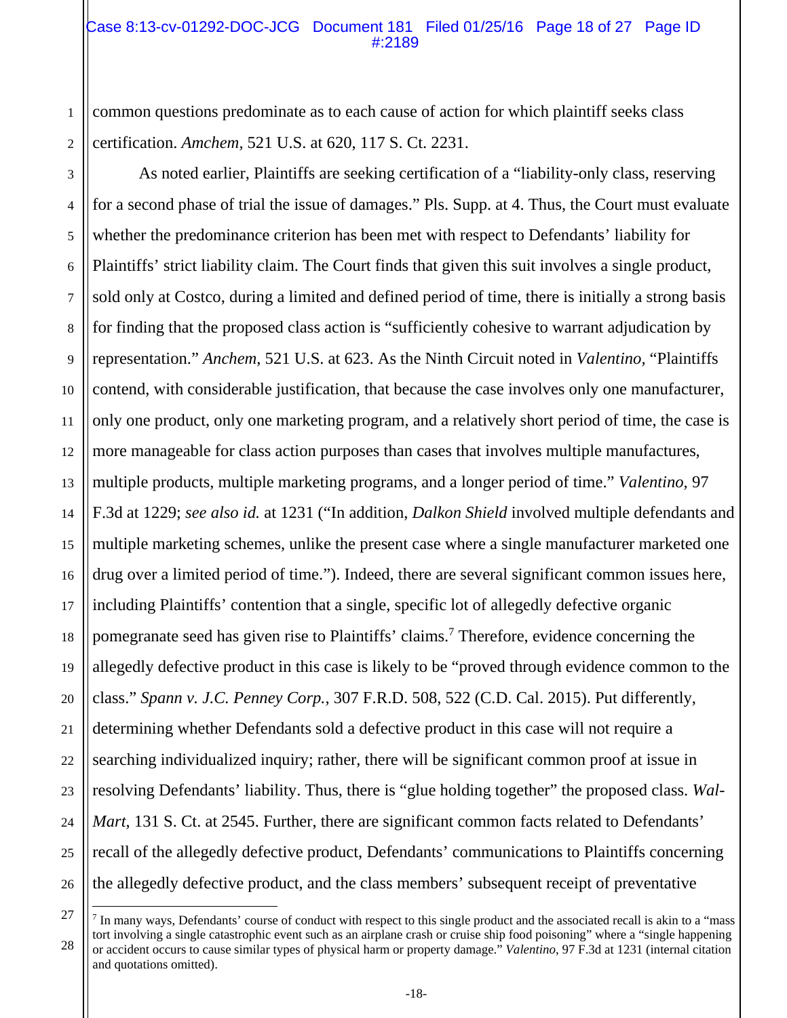common questions predominate as to each cause of action for which plaintiff seeks class certification. *Amchem,* 521 U.S. at 620, 117 S. Ct. 2231.

1

2

 $\overline{\phantom{a}}$ 

3 4 5 6 7 8 9 10 11 12 13 14 15 16 17 18 19 20 21 22 23 24 25 26 As noted earlier, Plaintiffs are seeking certification of a "liability-only class, reserving for a second phase of trial the issue of damages." Pls. Supp. at 4. Thus, the Court must evaluate whether the predominance criterion has been met with respect to Defendants' liability for Plaintiffs' strict liability claim. The Court finds that given this suit involves a single product, sold only at Costco, during a limited and defined period of time, there is initially a strong basis for finding that the proposed class action is "sufficiently cohesive to warrant adjudication by representation." *Anchem*, 521 U.S. at 623. As the Ninth Circuit noted in *Valentino,* "Plaintiffs contend, with considerable justification, that because the case involves only one manufacturer, only one product, only one marketing program, and a relatively short period of time, the case is more manageable for class action purposes than cases that involves multiple manufactures, multiple products, multiple marketing programs, and a longer period of time." *Valentino*, 97 F.3d at 1229; *see also id.* at 1231 ("In addition, *Dalkon Shield* involved multiple defendants and multiple marketing schemes, unlike the present case where a single manufacturer marketed one drug over a limited period of time."). Indeed, there are several significant common issues here, including Plaintiffs' contention that a single, specific lot of allegedly defective organic pomegranate seed has given rise to Plaintiffs' claims.<sup>7</sup> Therefore, evidence concerning the allegedly defective product in this case is likely to be "proved through evidence common to the class." *Spann v. J.C. Penney Corp.*, 307 F.R.D. 508, 522 (C.D. Cal. 2015). Put differently, determining whether Defendants sold a defective product in this case will not require a searching individualized inquiry; rather, there will be significant common proof at issue in resolving Defendants' liability. Thus, there is "glue holding together" the proposed class. *Wal-Mart*, 131 S. Ct. at 2545. Further, there are significant common facts related to Defendants' recall of the allegedly defective product, Defendants' communications to Plaintiffs concerning the allegedly defective product, and the class members' subsequent receipt of preventative

<sup>27</sup> 28  $<sup>7</sup>$  In many ways, Defendants' course of conduct with respect to this single product and the associated recall is akin to a "mass"</sup> tort involving a single catastrophic event such as an airplane crash or cruise ship food poisoning" where a "single happening or accident occurs to cause similar types of physical harm or property damage." *Valentino*, 97 F.3d at 1231 (internal citation and quotations omitted).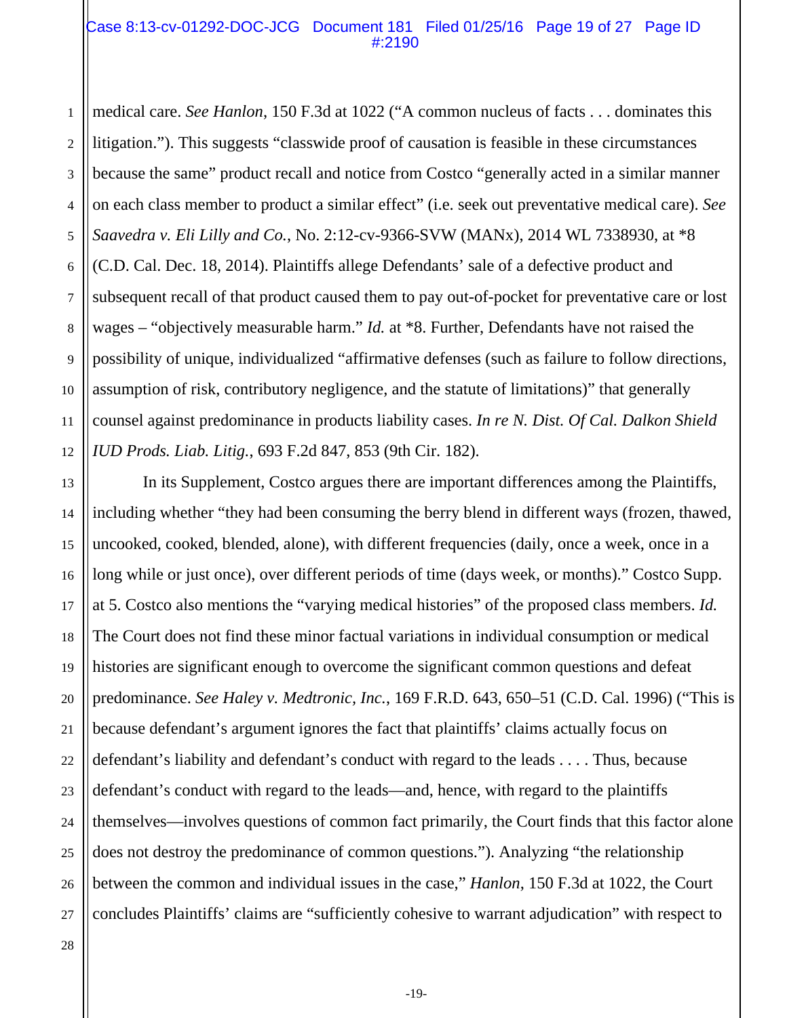#### Case 8:13-cv-01292-DOC-JCG Document 181 Filed 01/25/16 Page 19 of 27 Page ID #:2190

1 2 3 4 5 6 7 8 9 10 11 12 medical care. *See Hanlon*, 150 F.3d at 1022 ("A common nucleus of facts . . . dominates this litigation."). This suggests "classwide proof of causation is feasible in these circumstances because the same" product recall and notice from Costco "generally acted in a similar manner on each class member to product a similar effect" (i.e. seek out preventative medical care). *See Saavedra v. Eli Lilly and Co.*, No. 2:12-cv-9366-SVW (MANx), 2014 WL 7338930, at \*8 (C.D. Cal. Dec. 18, 2014). Plaintiffs allege Defendants' sale of a defective product and subsequent recall of that product caused them to pay out-of-pocket for preventative care or lost wages – "objectively measurable harm." *Id.* at \*8. Further, Defendants have not raised the possibility of unique, individualized "affirmative defenses (such as failure to follow directions, assumption of risk, contributory negligence, and the statute of limitations)" that generally counsel against predominance in products liability cases. *In re N. Dist. Of Cal. Dalkon Shield IUD Prods. Liab. Litig.*, 693 F.2d 847, 853 (9th Cir. 182).

13 14 15 16 17 18 19 20 21 22 23 24 25 26 27 In its Supplement, Costco argues there are important differences among the Plaintiffs, including whether "they had been consuming the berry blend in different ways (frozen, thawed, uncooked, cooked, blended, alone), with different frequencies (daily, once a week, once in a long while or just once), over different periods of time (days week, or months)." Costco Supp. at 5. Costco also mentions the "varying medical histories" of the proposed class members. *Id.* The Court does not find these minor factual variations in individual consumption or medical histories are significant enough to overcome the significant common questions and defeat predominance. *See Haley v. Medtronic, Inc.*, 169 F.R.D. 643, 650–51 (C.D. Cal. 1996) ("This is because defendant's argument ignores the fact that plaintiffs' claims actually focus on defendant's liability and defendant's conduct with regard to the leads . . . . Thus, because defendant's conduct with regard to the leads—and, hence, with regard to the plaintiffs themselves—involves questions of common fact primarily, the Court finds that this factor alone does not destroy the predominance of common questions."). Analyzing "the relationship between the common and individual issues in the case," *Hanlon*, 150 F.3d at 1022, the Court concludes Plaintiffs' claims are "sufficiently cohesive to warrant adjudication" with respect to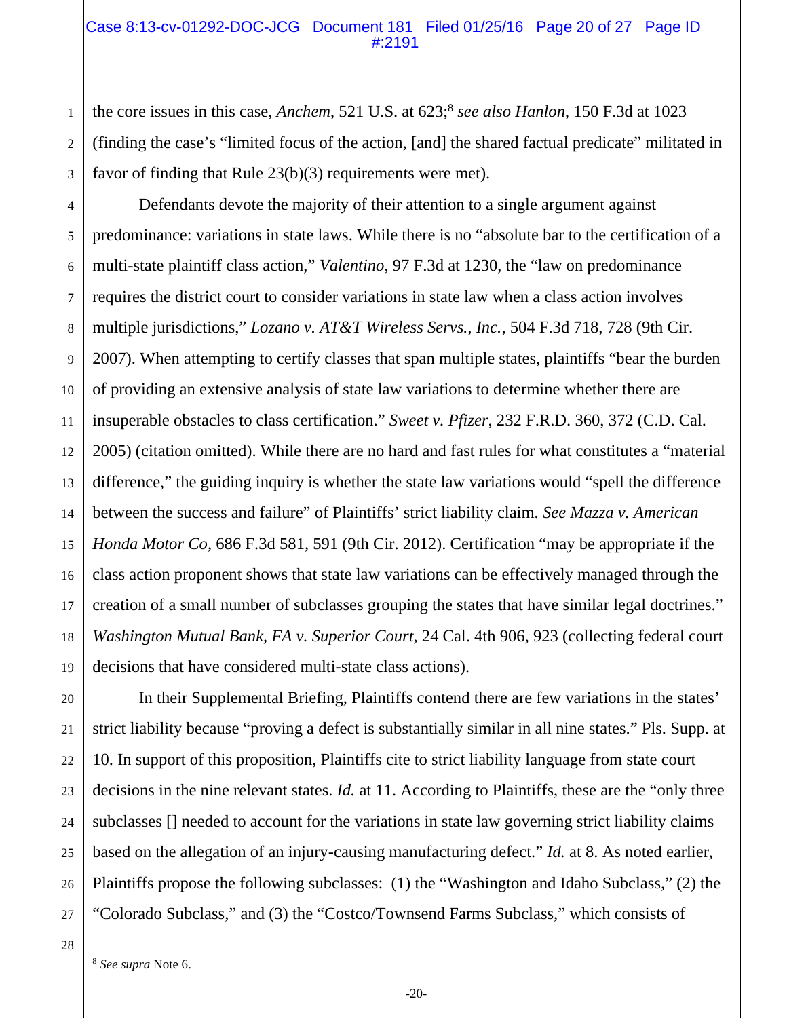### Case 8:13-cv-01292-DOC-JCG Document 181 Filed 01/25/16 Page 20 of 27 Page ID #:2191

the core issues in this case, *Anchem*, 521 U.S. at 623;<sup>8</sup> see also Hanlon, 150 F.3d at 1023 (finding the case's "limited focus of the action, [and] the shared factual predicate" militated in favor of finding that Rule 23(b)(3) requirements were met).

4 5 6 7 8 9 10 11 12 13 14 15 16 17 18 19 Defendants devote the majority of their attention to a single argument against predominance: variations in state laws. While there is no "absolute bar to the certification of a multi-state plaintiff class action," *Valentino*, 97 F.3d at 1230, the "law on predominance requires the district court to consider variations in state law when a class action involves multiple jurisdictions," *Lozano v. AT&T Wireless Servs., Inc.*, 504 F.3d 718, 728 (9th Cir. 2007). When attempting to certify classes that span multiple states, plaintiffs "bear the burden of providing an extensive analysis of state law variations to determine whether there are insuperable obstacles to class certification." *Sweet v. Pfizer*, 232 F.R.D. 360, 372 (C.D. Cal. 2005) (citation omitted). While there are no hard and fast rules for what constitutes a "material difference," the guiding inquiry is whether the state law variations would "spell the difference between the success and failure" of Plaintiffs' strict liability claim. *See Mazza v. American Honda Motor Co*, 686 F.3d 581, 591 (9th Cir. 2012). Certification "may be appropriate if the class action proponent shows that state law variations can be effectively managed through the creation of a small number of subclasses grouping the states that have similar legal doctrines." *Washington Mutual Bank, FA v. Superior Court*, 24 Cal. 4th 906, 923 (collecting federal court decisions that have considered multi-state class actions).

In their Supplemental Briefing, Plaintiffs contend there are few variations in the states' strict liability because "proving a defect is substantially similar in all nine states." Pls. Supp. at 10. In support of this proposition, Plaintiffs cite to strict liability language from state court decisions in the nine relevant states. *Id.* at 11. According to Plaintiffs, these are the "only three subclasses [] needed to account for the variations in state law governing strict liability claims based on the allegation of an injury-causing manufacturing defect." *Id.* at 8. As noted earlier, Plaintiffs propose the following subclasses: (1) the "Washington and Idaho Subclass," (2) the "Colorado Subclass," and (3) the "Costco/Townsend Farms Subclass," which consists of

28

 $\overline{\phantom{a}}$ 

20

21

22

23

24

25

1

2

<sup>26</sup> 27

<sup>8</sup> *See supra* Note 6.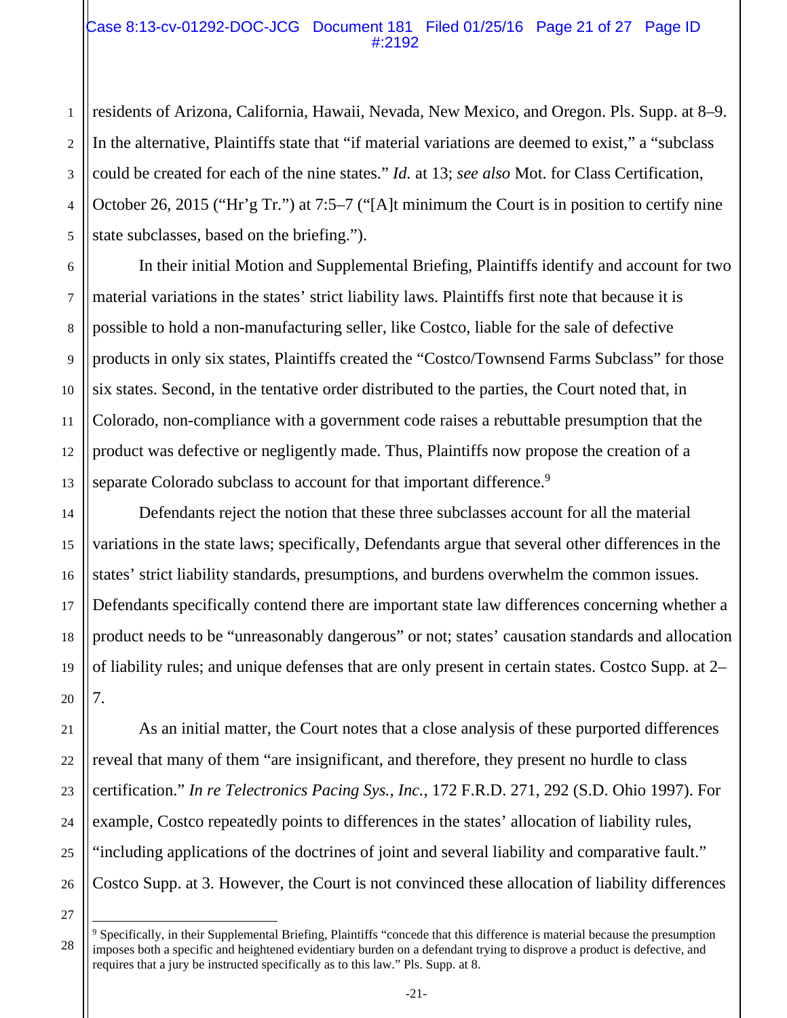#### Case 8:13-cv-01292-DOC-JCG Document 181 Filed 01/25/16 Page 21 of 27 Page ID #:2192

1 2 3 4 5 residents of Arizona, California, Hawaii, Nevada, New Mexico, and Oregon. Pls. Supp. at 8–9. In the alternative, Plaintiffs state that "if material variations are deemed to exist," a "subclass could be created for each of the nine states." *Id.* at 13; *see also* Mot. for Class Certification, October 26, 2015 ("Hr'g Tr.") at 7:5–7 ("[A]t minimum the Court is in position to certify nine state subclasses, based on the briefing.").

6 7 8 9 10 11 12 13 In their initial Motion and Supplemental Briefing, Plaintiffs identify and account for two material variations in the states' strict liability laws. Plaintiffs first note that because it is possible to hold a non-manufacturing seller, like Costco, liable for the sale of defective products in only six states, Plaintiffs created the "Costco/Townsend Farms Subclass" for those six states. Second, in the tentative order distributed to the parties, the Court noted that, in Colorado, non-compliance with a government code raises a rebuttable presumption that the product was defective or negligently made. Thus, Plaintiffs now propose the creation of a separate Colorado subclass to account for that important difference.<sup>9</sup>

Defendants reject the notion that these three subclasses account for all the material variations in the state laws; specifically, Defendants argue that several other differences in the states' strict liability standards, presumptions, and burdens overwhelm the common issues. Defendants specifically contend there are important state law differences concerning whether a product needs to be "unreasonably dangerous" or not; states' causation standards and allocation of liability rules; and unique defenses that are only present in certain states. Costco Supp. at 2– 7.

As an initial matter, the Court notes that a close analysis of these purported differences reveal that many of them "are insignificant, and therefore, they present no hurdle to class certification." *In re Telectronics Pacing Sys., Inc.*, 172 F.R.D. 271, 292 (S.D. Ohio 1997). For example, Costco repeatedly points to differences in the states' allocation of liability rules, "including applications of the doctrines of joint and several liability and comparative fault." Costco Supp. at 3. However, the Court is not convinced these allocation of liability differences

27

28

14

15

16

17

18

19

20

21

22

23

24

25

l 9 Specifically, in their Supplemental Briefing, Plaintiffs "concede that this difference is material because the presumption imposes both a specific and heightened evidentiary burden on a defendant trying to disprove a product is defective, and requires that a jury be instructed specifically as to this law." Pls. Supp. at 8.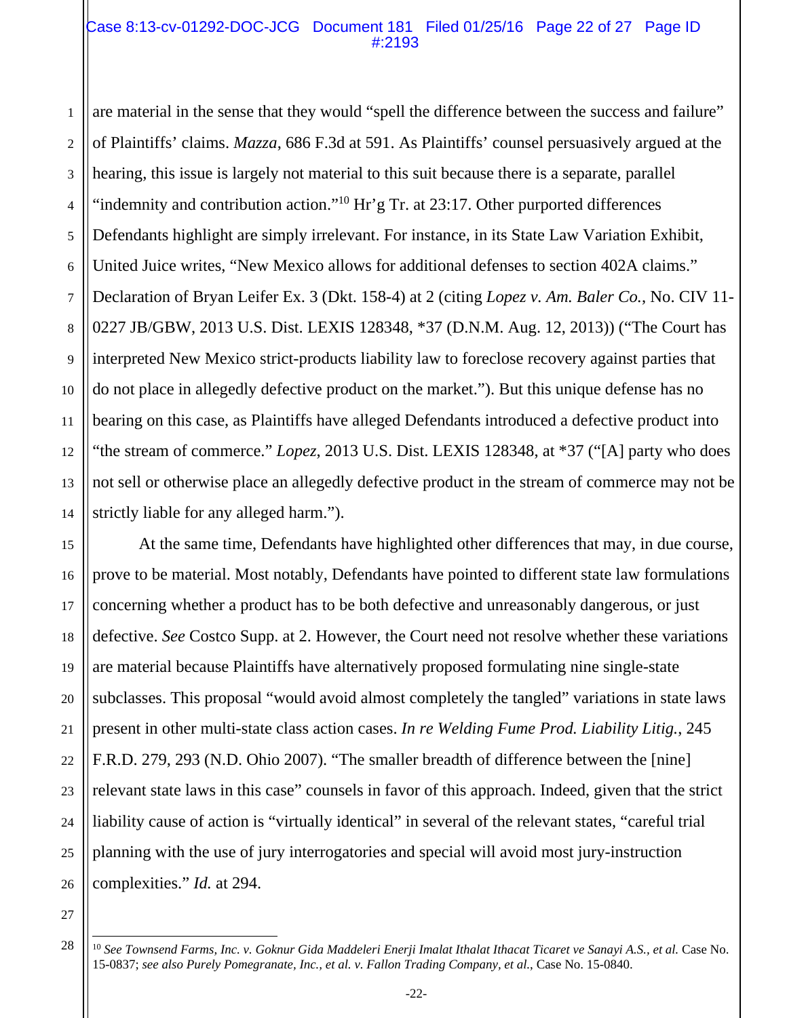#### Case 8:13-cv-01292-DOC-JCG Document 181 Filed 01/25/16 Page 22 of 27 Page ID #:2193

1 2 3 4 5 6 7 8 9 10 11 12 13 14 are material in the sense that they would "spell the difference between the success and failure" of Plaintiffs' claims. *Mazza*, 686 F.3d at 591. As Plaintiffs' counsel persuasively argued at the hearing, this issue is largely not material to this suit because there is a separate, parallel "indemnity and contribution action."<sup>10</sup> Hr'g Tr. at 23:17. Other purported differences Defendants highlight are simply irrelevant. For instance, in its State Law Variation Exhibit, United Juice writes, "New Mexico allows for additional defenses to section 402A claims." Declaration of Bryan Leifer Ex. 3 (Dkt. 158-4) at 2 (citing *Lopez v. Am. Baler Co.*, No. CIV 11- 0227 JB/GBW, 2013 U.S. Dist. LEXIS 128348, \*37 (D.N.M. Aug. 12, 2013)) ("The Court has interpreted New Mexico strict-products liability law to foreclose recovery against parties that do not place in allegedly defective product on the market."). But this unique defense has no bearing on this case, as Plaintiffs have alleged Defendants introduced a defective product into "the stream of commerce." *Lopez*, 2013 U.S. Dist. LEXIS 128348, at \*37 ("[A] party who does not sell or otherwise place an allegedly defective product in the stream of commerce may not be strictly liable for any alleged harm.").

15 16 17 18 19 20 21 22 23 24 25 26 At the same time, Defendants have highlighted other differences that may, in due course, prove to be material. Most notably, Defendants have pointed to different state law formulations concerning whether a product has to be both defective and unreasonably dangerous, or just defective. *See* Costco Supp. at 2. However, the Court need not resolve whether these variations are material because Plaintiffs have alternatively proposed formulating nine single-state subclasses. This proposal "would avoid almost completely the tangled" variations in state laws present in other multi-state class action cases. *In re Welding Fume Prod. Liability Litig.*, 245 F.R.D. 279, 293 (N.D. Ohio 2007). "The smaller breadth of difference between the [nine] relevant state laws in this case" counsels in favor of this approach. Indeed, given that the strict liability cause of action is "virtually identical" in several of the relevant states, "careful trial planning with the use of jury interrogatories and special will avoid most jury-instruction complexities." *Id.* at 294.

27 28

 $\overline{\phantom{a}}$ 

<sup>10</sup> *See Townsend Farms, Inc. v. Goknur Gida Maddeleri Enerji Imalat Ithalat Ithacat Ticaret ve Sanayi A.S., et al.* Case No. 15-0837; *see also Purely Pomegranate, Inc., et al. v. Fallon Trading Company, et al.*, Case No. 15-0840.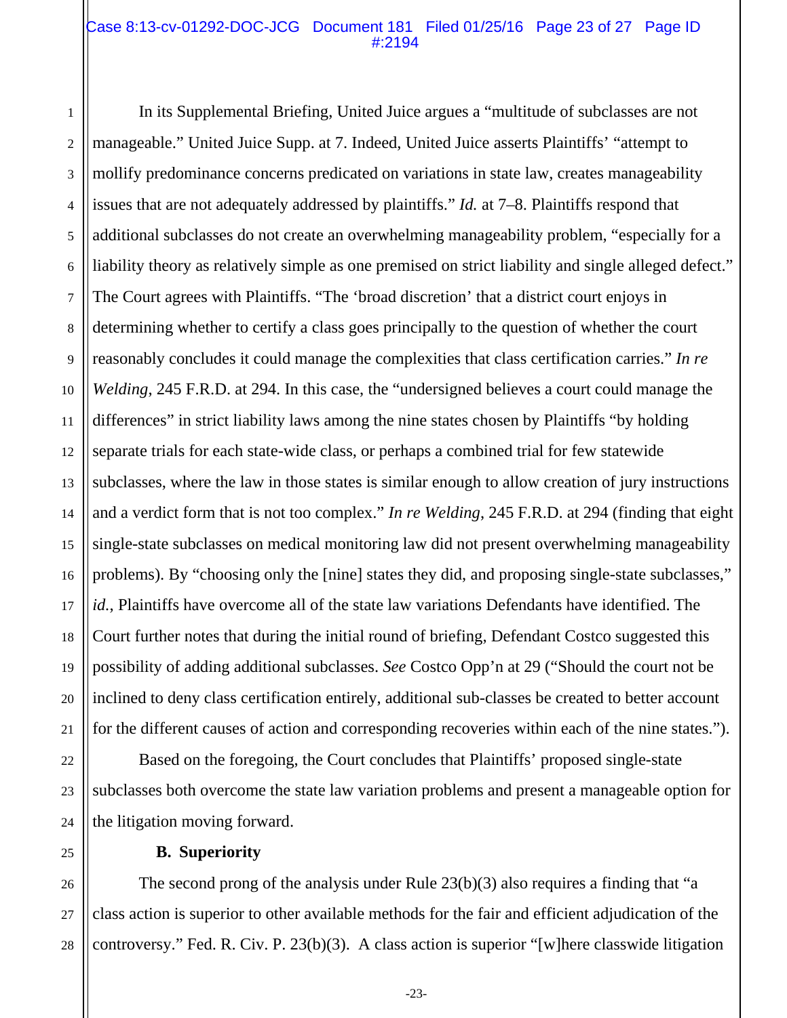#### Case 8:13-cv-01292-DOC-JCG Document 181 Filed 01/25/16 Page 23 of 27 Page ID #:2194

1 2 3 4 5 6 7 8 9 10 11 12 13 14 15 16 17 18 19 20 21 In its Supplemental Briefing, United Juice argues a "multitude of subclasses are not manageable." United Juice Supp. at 7. Indeed, United Juice asserts Plaintiffs' "attempt to mollify predominance concerns predicated on variations in state law, creates manageability issues that are not adequately addressed by plaintiffs." *Id.* at 7–8. Plaintiffs respond that additional subclasses do not create an overwhelming manageability problem, "especially for a liability theory as relatively simple as one premised on strict liability and single alleged defect." The Court agrees with Plaintiffs. "The 'broad discretion' that a district court enjoys in determining whether to certify a class goes principally to the question of whether the court reasonably concludes it could manage the complexities that class certification carries." *In re Welding*, 245 F.R.D. at 294. In this case, the "undersigned believes a court could manage the differences" in strict liability laws among the nine states chosen by Plaintiffs "by holding separate trials for each state-wide class, or perhaps a combined trial for few statewide subclasses, where the law in those states is similar enough to allow creation of jury instructions and a verdict form that is not too complex." *In re Welding*, 245 F.R.D. at 294 (finding that eight single-state subclasses on medical monitoring law did not present overwhelming manageability problems). By "choosing only the [nine] states they did, and proposing single-state subclasses," *id.*, Plaintiffs have overcome all of the state law variations Defendants have identified. The Court further notes that during the initial round of briefing, Defendant Costco suggested this possibility of adding additional subclasses. *See* Costco Opp'n at 29 ("Should the court not be inclined to deny class certification entirely, additional sub-classes be created to better account for the different causes of action and corresponding recoveries within each of the nine states.").

Based on the foregoing, the Court concludes that Plaintiffs' proposed single-state subclasses both overcome the state law variation problems and present a manageable option for the litigation moving forward.

#### **B. Superiority**

22

23

24

25

26 27 28 The second prong of the analysis under Rule 23(b)(3) also requires a finding that "a class action is superior to other available methods for the fair and efficient adjudication of the controversy." Fed. R. Civ. P. 23(b)(3). A class action is superior "[w]here classwide litigation

-23-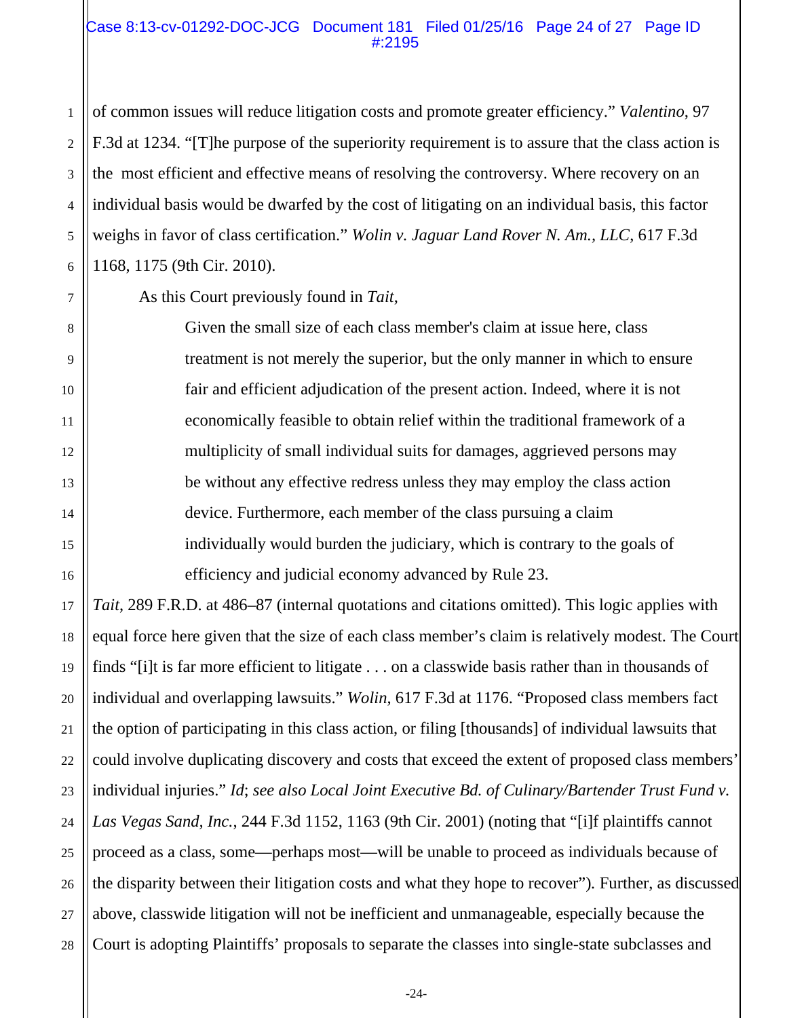#### Case 8:13-cv-01292-DOC-JCG Document 181 Filed 01/25/16 Page 24 of 27 Page ID #:2195

of common issues will reduce litigation costs and promote greater efficiency." *Valentino*, 97 F.3d at 1234. "[T]he purpose of the superiority requirement is to assure that the class action is the most efficient and effective means of resolving the controversy. Where recovery on an individual basis would be dwarfed by the cost of litigating on an individual basis, this factor weighs in favor of class certification." *Wolin v. Jaguar Land Rover N. Am., LLC*, 617 F.3d 1168, 1175 (9th Cir. 2010).

As this Court previously found in *Tait*,

1

2

3

4

5

6

7

8

9

10

11

12

13

14

15

16

Given the small size of each class member's claim at issue here, class treatment is not merely the superior, but the only manner in which to ensure fair and efficient adjudication of the present action. Indeed, where it is not economically feasible to obtain relief within the traditional framework of a multiplicity of small individual suits for damages, aggrieved persons may be without any effective redress unless they may employ the class action device. Furthermore, each member of the class pursuing a claim individually would burden the judiciary, which is contrary to the goals of efficiency and judicial economy advanced by Rule 23.

17 18 19 20 21 22 23 24 25 26 27 28 *Tait*, 289 F.R.D. at 486–87 (internal quotations and citations omitted). This logic applies with equal force here given that the size of each class member's claim is relatively modest. The Court finds "[i]t is far more efficient to litigate . . . on a classwide basis rather than in thousands of individual and overlapping lawsuits." *Wolin*, 617 F.3d at 1176. "Proposed class members fact the option of participating in this class action, or filing [thousands] of individual lawsuits that could involve duplicating discovery and costs that exceed the extent of proposed class members' individual injuries." *Id*; *see also Local Joint Executive Bd. of Culinary/Bartender Trust Fund v. Las Vegas Sand, Inc.*, 244 F.3d 1152, 1163 (9th Cir. 2001) (noting that "[i]f plaintiffs cannot proceed as a class, some—perhaps most—will be unable to proceed as individuals because of the disparity between their litigation costs and what they hope to recover")*.* Further, as discussed above, classwide litigation will not be inefficient and unmanageable, especially because the Court is adopting Plaintiffs' proposals to separate the classes into single-state subclasses and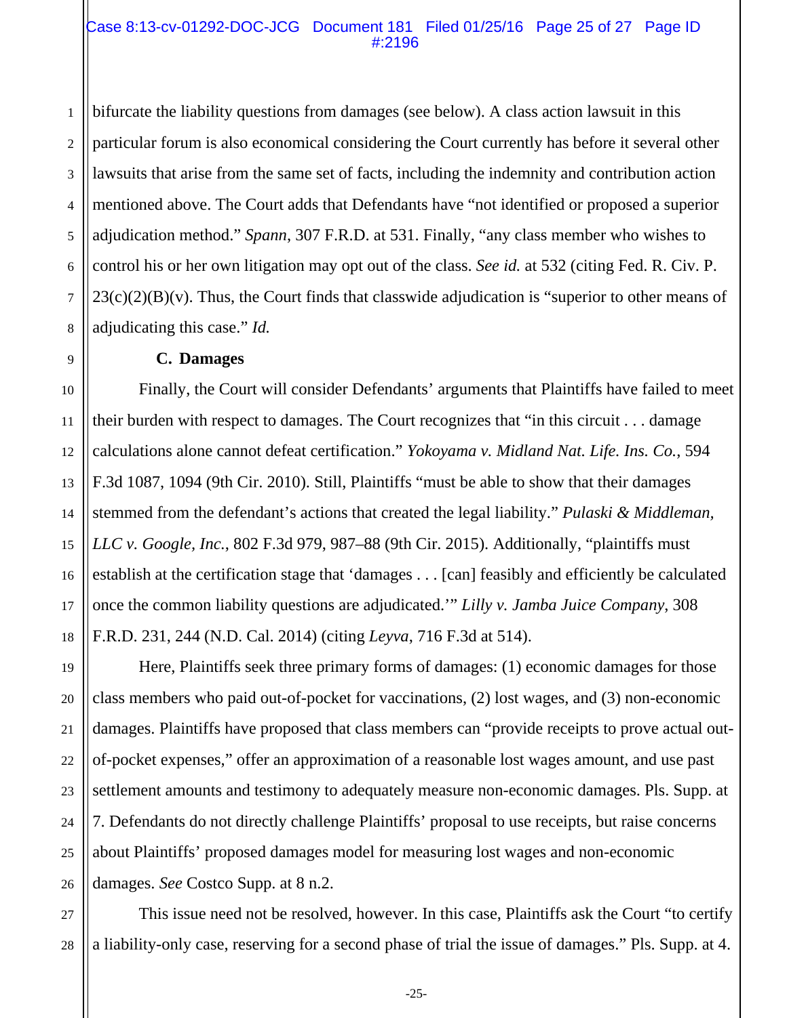#### Case 8:13-cv-01292-DOC-JCG Document 181 Filed 01/25/16 Page 25 of 27 Page ID #:2196

1 2 3 4 5 6 7 bifurcate the liability questions from damages (see below). A class action lawsuit in this particular forum is also economical considering the Court currently has before it several other lawsuits that arise from the same set of facts, including the indemnity and contribution action mentioned above. The Court adds that Defendants have "not identified or proposed a superior adjudication method." *Spann*, 307 F.R.D. at 531. Finally, "any class member who wishes to control his or her own litigation may opt out of the class. *See id.* at 532 (citing Fed. R. Civ. P.  $23(c)(2)(B)(v)$ . Thus, the Court finds that classwide adjudication is "superior to other means of adjudicating this case." *Id.* 

## **C. Damages**

Finally, the Court will consider Defendants' arguments that Plaintiffs have failed to meet their burden with respect to damages. The Court recognizes that "in this circuit . . . damage calculations alone cannot defeat certification." *Yokoyama v. Midland Nat. Life. Ins. Co.*, 594 F.3d 1087, 1094 (9th Cir. 2010). Still, Plaintiffs "must be able to show that their damages stemmed from the defendant's actions that created the legal liability." *Pulaski & Middleman, LLC v. Google, Inc.*, 802 F.3d 979, 987–88 (9th Cir. 2015). Additionally, "plaintiffs must establish at the certification stage that 'damages . . . [can] feasibly and efficiently be calculated once the common liability questions are adjudicated.'" *Lilly v. Jamba Juice Company*, 308 F.R.D. 231, 244 (N.D. Cal. 2014) (citing *Leyva*, 716 F.3d at 514).

Here, Plaintiffs seek three primary forms of damages: (1) economic damages for those class members who paid out-of-pocket for vaccinations, (2) lost wages, and (3) non-economic damages. Plaintiffs have proposed that class members can "provide receipts to prove actual outof-pocket expenses," offer an approximation of a reasonable lost wages amount, and use past settlement amounts and testimony to adequately measure non-economic damages. Pls. Supp. at 7. Defendants do not directly challenge Plaintiffs' proposal to use receipts, but raise concerns about Plaintiffs' proposed damages model for measuring lost wages and non-economic damages. *See* Costco Supp. at 8 n.2.

28 This issue need not be resolved, however. In this case, Plaintiffs ask the Court "to certify a liability-only case, reserving for a second phase of trial the issue of damages." Pls. Supp. at 4.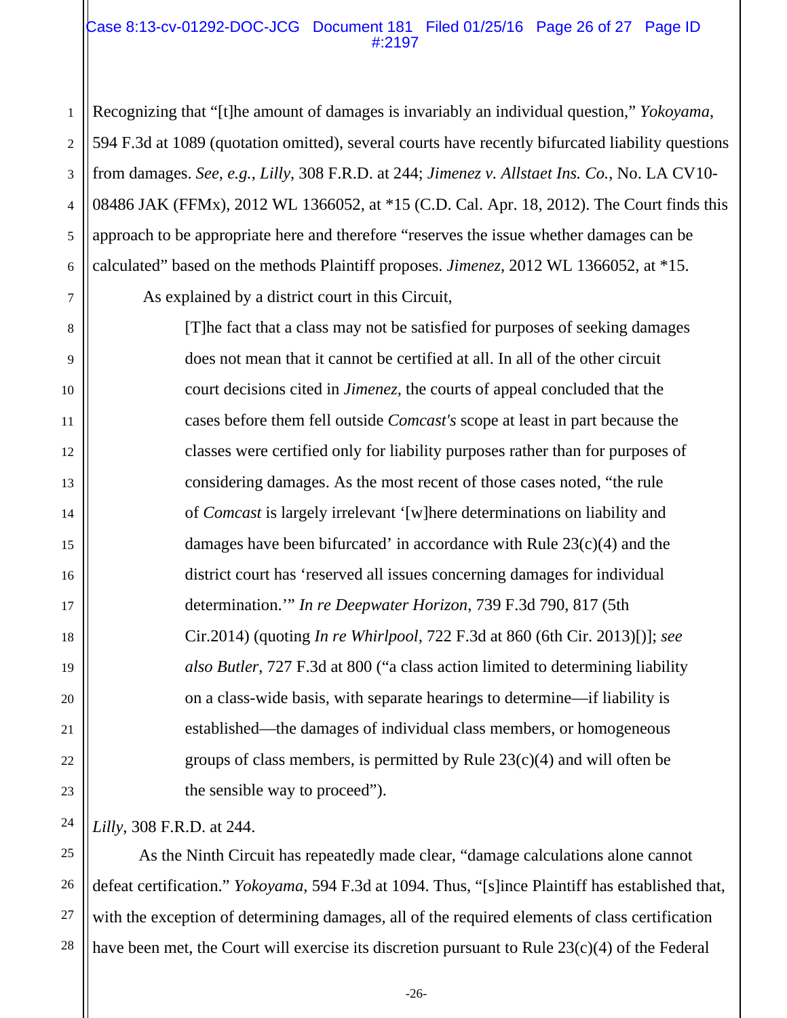#### Case 8:13-cv-01292-DOC-JCG Document 181 Filed 01/25/16 Page 26 of 27 Page ID #:2197

6 Recognizing that "[t]he amount of damages is invariably an individual question," *Yokoyama*, 594 F.3d at 1089 (quotation omitted), several courts have recently bifurcated liability questions from damages. *See, e.g.*, *Lilly*, 308 F.R.D. at 244; *Jimenez v. Allstaet Ins. Co.*, No. LA CV10- 08486 JAK (FFMx), 2012 WL 1366052, at \*15 (C.D. Cal. Apr. 18, 2012). The Court finds this approach to be appropriate here and therefore "reserves the issue whether damages can be calculated" based on the methods Plaintiff proposes. *Jimenez*, 2012 WL 1366052, at \*15.

As explained by a district court in this Circuit,

[T]he fact that a class may not be satisfied for purposes of seeking damages does not mean that it cannot be certified at all. In all of the other circuit court decisions cited in *Jimenez,* the courts of appeal concluded that the cases before them fell outside *Comcast's* scope at least in part because the classes were certified only for liability purposes rather than for purposes of considering damages. As the most recent of those cases noted, "the rule of *Comcast* is largely irrelevant '[w]here determinations on liability and damages have been bifurcated' in accordance with Rule 23(c)(4) and the district court has 'reserved all issues concerning damages for individual determination.'" *In re Deepwater Horizon*, 739 F.3d 790, 817 (5th Cir.2014) (quoting *In re Whirlpool*, 722 F.3d at 860 (6th Cir. 2013)[)]; *see also Butler*, 727 F.3d at 800 ("a class action limited to determining liability on a class-wide basis, with separate hearings to determine—if liability is established—the damages of individual class members, or homogeneous groups of class members, is permitted by Rule  $23(c)(4)$  and will often be the sensible way to proceed").

*Lilly*, 308 F.R.D. at 244.

1

2

3

4

5

7

8

9

10

11

12

13

14

15

16

17

18

19

20

21

22

23

24

25

26

27

28

As the Ninth Circuit has repeatedly made clear, "damage calculations alone cannot defeat certification." *Yokoyama*, 594 F.3d at 1094. Thus, "[s]ince Plaintiff has established that, with the exception of determining damages, all of the required elements of class certification have been met, the Court will exercise its discretion pursuant to Rule 23(c)(4) of the Federal